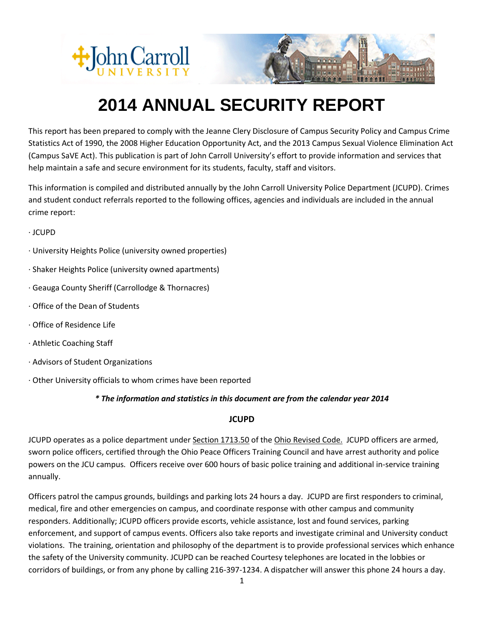



# **2014 ANNUAL SECURITY REPORT**

This report has been prepared to comply with the Jeanne Clery Disclosure of Campus Security Policy and Campus Crime Statistics Act of 1990, the 2008 Higher Education Opportunity Act, and the 2013 Campus Sexual Violence Elimination Act (Campus SaVE Act). This publication is part of John Carroll University's effort to provide information and services that help maintain a safe and secure environment for its students, faculty, staff and visitors.

This information is compiled and distributed annually by the John Carroll University Police Department (JCUPD). Crimes and student conduct referrals reported to the following offices, agencies and individuals are included in the annual crime report:

· JCUPD

- · University Heights Police (university owned properties)
- · Shaker Heights Police (university owned apartments)
- · Geauga County Sheriff (Carrollodge & Thornacres)
- · Office of the Dean of Students
- · Office of Residence Life
- · Athletic Coaching Staff
- · Advisors of Student Organizations
- · Other University officials to whom crimes have been reported

# *\* The information and statistics in this document are from the calendar year 2014*

#### **JCUPD**

JCUPD operates as a police department under Section 1713.50 of the Ohio Revised Code. JCUPD officers are armed, sworn police officers, certified through the Ohio Peace Officers Training Council and have arrest authority and police powers on the JCU campus. Officers receive over 600 hours of basic police training and additional in-service training annually.

Officers patrol the campus grounds, buildings and parking lots 24 hours a day. JCUPD are first responders to criminal, medical, fire and other emergencies on campus, and coordinate response with other campus and community responders. Additionally; JCUPD officers provide escorts, vehicle assistance, lost and found services, parking enforcement, and support of campus events. Officers also take reports and investigate criminal and University conduct violations. The training, orientation and philosophy of the department is to provide professional services which enhance the safety of the University community. JCUPD can be reached Courtesy telephones are located in the lobbies or corridors of buildings, or from any phone by calling 216-397-1234. A dispatcher will answer this phone 24 hours a day.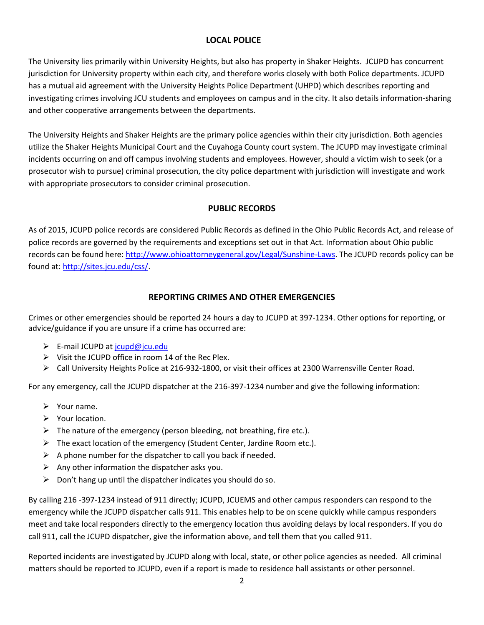# **LOCAL POLICE**

The University lies primarily within University Heights, but also has property in Shaker Heights. JCUPD has concurrent jurisdiction for University property within each city, and therefore works closely with both Police departments. JCUPD has a mutual aid agreement with the University Heights Police Department (UHPD) which describes reporting and investigating crimes involving JCU students and employees on campus and in the city. It also details information-sharing and other cooperative arrangements between the departments.

The University Heights and Shaker Heights are the primary police agencies within their city jurisdiction. Both agencies utilize the Shaker Heights Municipal Court and the Cuyahoga County court system. The JCUPD may investigate criminal incidents occurring on and off campus involving students and employees. However, should a victim wish to seek (or a prosecutor wish to pursue) criminal prosecution, the city police department with jurisdiction will investigate and work with appropriate prosecutors to consider criminal prosecution.

#### **PUBLIC RECORDS**

As of 2015, JCUPD police records are considered Public Records as defined in the Ohio Public Records Act, and release of police records are governed by the requirements and exceptions set out in that Act. Information about Ohio public records can be found here: [http://www.ohioattorneygeneral.gov/Legal/Sunshine-Laws.](http://www.ohioattorneygeneral.gov/Legal/Sunshine-Laws) The JCUPD records policy can be found at: [http://sites.jcu.edu/css/.](http://sites.jcu.edu/css/)

# **REPORTING CRIMES AND OTHER EMERGENCIES**

Crimes or other emergencies should be reported 24 hours a day to JCUPD at 397-1234. Other options for reporting, or advice/guidance if you are unsure if a crime has occurred are:

- ► E-mail JCUPD at [jcupd@jcu.edu](mailto:jcupd@jcu.edu)
- $\triangleright$  Visit the JCUPD office in room 14 of the Rec Plex.
- Call University Heights Police at 216-932-1800, or visit their offices at 2300 Warrensville Center Road.

For any emergency, call the JCUPD dispatcher at the 216-397-1234 number and give the following information:

- $\triangleright$  Your name.
- $\triangleright$  Your location.
- $\triangleright$  The nature of the emergency (person bleeding, not breathing, fire etc.).
- $\triangleright$  The exact location of the emergency (Student Center, Jardine Room etc.).
- $\triangleright$  A phone number for the dispatcher to call you back if needed.
- $\triangleright$  Any other information the dispatcher asks you.
- $\triangleright$  Don't hang up until the dispatcher indicates you should do so.

By calling 216 -397-1234 instead of 911 directly; JCUPD, JCUEMS and other campus responders can respond to the emergency while the JCUPD dispatcher calls 911. This enables help to be on scene quickly while campus responders meet and take local responders directly to the emergency location thus avoiding delays by local responders. If you do call 911, call the JCUPD dispatcher, give the information above, and tell them that you called 911.

Reported incidents are investigated by JCUPD along with local, state, or other police agencies as needed. All criminal matters should be reported to JCUPD, even if a report is made to residence hall assistants or other personnel.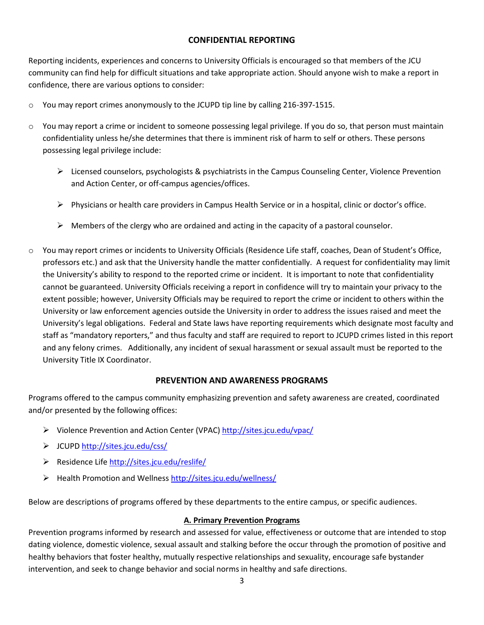# **CONFIDENTIAL REPORTING**

Reporting incidents, experiences and concerns to University Officials is encouraged so that members of the JCU community can find help for difficult situations and take appropriate action. Should anyone wish to make a report in confidence, there are various options to consider:

- $\circ$  You may report crimes anonymously to the JCUPD tip line by calling 216-397-1515.
- o You may report a crime or incident to someone possessing legal privilege. If you do so, that person must maintain confidentiality unless he/she determines that there is imminent risk of harm to self or others. These persons possessing legal privilege include:
	- Licensed counselors, psychologists & psychiatrists in the Campus Counseling Center, Violence Prevention and Action Center, or off-campus agencies/offices.
	- $\triangleright$  Physicians or health care providers in Campus Health Service or in a hospital, clinic or doctor's office.
	- $\triangleright$  Members of the clergy who are ordained and acting in the capacity of a pastoral counselor.
- o You may report crimes or incidents to University Officials (Residence Life staff, coaches, Dean of Student's Office, professors etc.) and ask that the University handle the matter confidentially. A request for confidentiality may limit the University's ability to respond to the reported crime or incident. It is important to note that confidentiality cannot be guaranteed. University Officials receiving a report in confidence will try to maintain your privacy to the extent possible; however, University Officials may be required to report the crime or incident to others within the University or law enforcement agencies outside the University in order to address the issues raised and meet the University's legal obligations. Federal and State laws have reporting requirements which designate most faculty and staff as "mandatory reporters," and thus faculty and staff are required to report to JCUPD crimes listed in this report and any felony crimes. Additionally, any incident of sexual harassment or sexual assault must be reported to the University Title IX Coordinator.

#### **PREVENTION AND AWARENESS PROGRAMS**

Programs offered to the campus community emphasizing prevention and safety awareness are created, coordinated and/or presented by the following offices:

- Violence Prevention and Action Center (VPAC)<http://sites.jcu.edu/vpac/>
- JCUPD <http://sites.jcu.edu/css/>
- Residence Life <http://sites.jcu.edu/reslife/>
- Health Promotion and Wellness<http://sites.jcu.edu/wellness/>

Below are descriptions of programs offered by these departments to the entire campus, or specific audiences.

#### **A. Primary Prevention Programs**

Prevention programs informed by research and assessed for value, effectiveness or outcome that are intended to stop dating violence, domestic violence, sexual assault and stalking before the occur through the promotion of positive and healthy behaviors that foster healthy, mutually respective relationships and sexuality, encourage safe bystander intervention, and seek to change behavior and social norms in healthy and safe directions.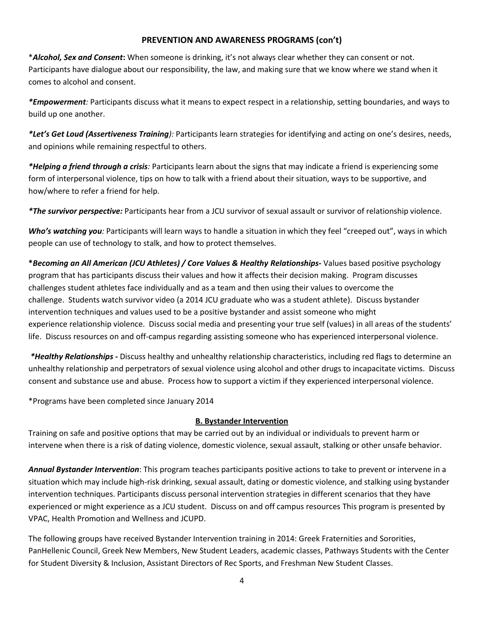### **PREVENTION AND AWARENESS PROGRAMS (con't)**

\**Alcohol, Sex and Consent***:** When someone is drinking, it's not always clear whether they can consent or not. Participants have dialogue about our responsibility, the law, and making sure that we know where we stand when it comes to alcohol and consent.

*\*Empowerment:* Participants discuss what it means to expect respect in a relationship, setting boundaries, and ways to build up one another.

*\*Let's Get Loud (Assertiveness Training):* Participants learn strategies for identifying and acting on one's desires, needs, and opinions while remaining respectful to others.

*\*Helping a friend through a crisis:* Participants learn about the signs that may indicate a friend is experiencing some form of interpersonal violence, tips on how to talk with a friend about their situation, ways to be supportive, and how/where to refer a friend for help.

*\*The survivor perspective:* Participants hear from a JCU survivor of sexual assault or survivor of relationship violence.

*Who's watching you:* Participants will learn ways to handle a situation in which they feel "creeped out", ways in which people can use of technology to stalk, and how to protect themselves.

**\****Becoming an All American (JCU Athletes) / Core Values & Healthy Relationships***-** Values based positive psychology program that has participants discuss their values and how it affects their decision making. Program discusses challenges student athletes face individually and as a team and then using their values to overcome the challenge. Students watch survivor video (a 2014 JCU graduate who was a student athlete). Discuss bystander intervention techniques and values used to be a positive bystander and assist someone who might experience relationship violence. Discuss social media and presenting your true self (values) in all areas of the students' life. Discuss resources on and off-campus regarding assisting someone who has experienced interpersonal violence.

*\*Healthy Relationships* **-** Discuss healthy and unhealthy relationship characteristics, including red flags to determine an unhealthy relationship and perpetrators of sexual violence using alcohol and other drugs to incapacitate victims. Discuss consent and substance use and abuse. Process how to support a victim if they experienced interpersonal violence.

\*Programs have been completed since January 2014

# **B. Bystander Intervention**

Training on safe and positive options that may be carried out by an individual or individuals to prevent harm or intervene when there is a risk of dating violence, domestic violence, sexual assault, stalking or other unsafe behavior.

*Annual Bystander Intervention*: This program teaches participants positive actions to take to prevent or intervene in a situation which may include high-risk drinking, sexual assault, dating or domestic violence, and stalking using bystander intervention techniques. Participants discuss personal intervention strategies in different scenarios that they have experienced or might experience as a JCU student. Discuss on and off campus resources This program is presented by VPAC, Health Promotion and Wellness and JCUPD.

The following groups have received Bystander Intervention training in 2014: Greek Fraternities and Sororities, PanHellenic Council, Greek New Members, New Student Leaders, academic classes, Pathways Students with the Center for Student Diversity & Inclusion, Assistant Directors of Rec Sports, and Freshman New Student Classes.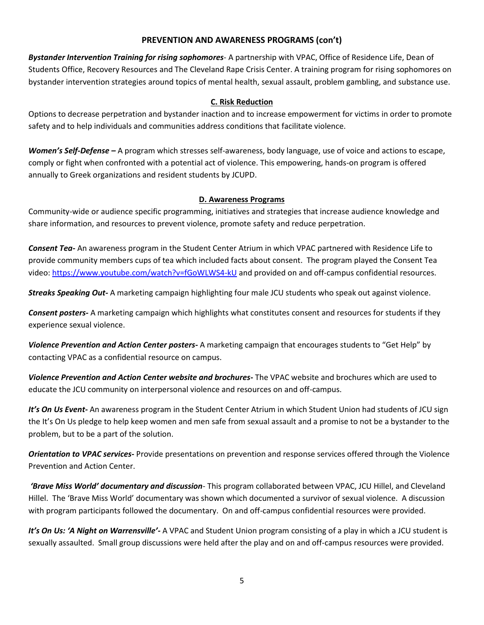### **PREVENTION AND AWARENESS PROGRAMS (con't)**

*Bystander Intervention Training for rising sophomores*- A partnership with VPAC, Office of Residence Life, Dean of Students Office, Recovery Resources and The Cleveland Rape Crisis Center. A training program for rising sophomores on bystander intervention strategies around topics of mental health, sexual assault, problem gambling, and substance use.

# **C. Risk Reduction**

Options to decrease perpetration and bystander inaction and to increase empowerment for victims in order to promote safety and to help individuals and communities address conditions that facilitate violence.

*Women's Self-Defense –* A program which stresses self-awareness, body language, use of voice and actions to escape, comply or fight when confronted with a potential act of violence. This empowering, hands-on program is offered annually to Greek organizations and resident students by JCUPD.

# **D. Awareness Programs**

Community-wide or audience specific programming, initiatives and strategies that increase audience knowledge and share information, and resources to prevent violence, promote safety and reduce perpetration.

*Consent Tea-* An awareness program in the Student Center Atrium in which VPAC partnered with Residence Life to provide community members cups of tea which included facts about consent. The program played the Consent Tea video:<https://www.youtube.com/watch?v=fGoWLWS4-kU> and provided on and off-campus confidential resources.

*Streaks Speaking Out-* A marketing campaign highlighting four male JCU students who speak out against violence.

*Consent posters-* A marketing campaign which highlights what constitutes consent and resources for students if they experience sexual violence.

*Violence Prevention and Action Center posters-* A marketing campaign that encourages students to "Get Help" by contacting VPAC as a confidential resource on campus.

*Violence Prevention and Action Center website and brochures-* The VPAC website and brochures which are used to educate the JCU community on interpersonal violence and resources on and off-campus.

*It's On Us Event-* An awareness program in the Student Center Atrium in which Student Union had students of JCU sign the It's On Us pledge to help keep women and men safe from sexual assault and a promise to not be a bystander to the problem, but to be a part of the solution.

*Orientation to VPAC services-* Provide presentations on prevention and response services offered through the Violence Prevention and Action Center.

*'Brave Miss World' documentary and discussion*- This program collaborated between VPAC, JCU Hillel, and Cleveland Hillel. The 'Brave Miss World' documentary was shown which documented a survivor of sexual violence. A discussion with program participants followed the documentary. On and off-campus confidential resources were provided.

*It's On Us: 'A Night on Warrensville'-* A VPAC and Student Union program consisting of a play in which a JCU student is sexually assaulted. Small group discussions were held after the play and on and off-campus resources were provided.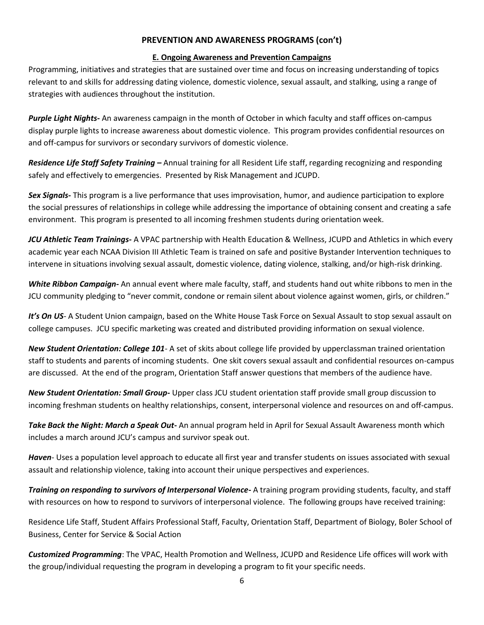### **PREVENTION AND AWARENESS PROGRAMS (con't)**

#### **E. Ongoing Awareness and Prevention Campaigns**

Programming, initiatives and strategies that are sustained over time and focus on increasing understanding of topics relevant to and skills for addressing dating violence, domestic violence, sexual assault, and stalking, using a range of strategies with audiences throughout the institution.

*Purple Light Nights-* An awareness campaign in the month of October in which faculty and staff offices on-campus display purple lights to increase awareness about domestic violence. This program provides confidential resources on and off-campus for survivors or secondary survivors of domestic violence.

*Residence Life Staff Safety Training –* Annual training for all Resident Life staff, regarding recognizing and responding safely and effectively to emergencies. Presented by Risk Management and JCUPD.

*Sex Signals-* This program is a live performance that uses improvisation, humor, and audience participation to explore the social pressures of relationships in college while addressing the importance of obtaining consent and creating a safe environment. This program is presented to all incoming freshmen students during orientation week.

*JCU Athletic Team Trainings-* A VPAC partnership with Health Education & Wellness, JCUPD and Athletics in which every academic year each NCAA Division III Athletic Team is trained on safe and positive Bystander Intervention techniques to intervene in situations involving sexual assault, domestic violence, dating violence, stalking, and/or high-risk drinking.

*White Ribbon Campaign-* An annual event where male faculty, staff, and students hand out white ribbons to men in the JCU community pledging to "never commit, condone or remain silent about violence against women, girls, or children."

It's On US- A Student Union campaign, based on the White House Task Force on Sexual Assault to stop sexual assault on college campuses. JCU specific marketing was created and distributed providing information on sexual violence.

*New Student Orientation: College 101*- A set of skits about college life provided by upperclassman trained orientation staff to students and parents of incoming students. One skit covers sexual assault and confidential resources on-campus are discussed. At the end of the program, Orientation Staff answer questions that members of the audience have.

*New Student Orientation: Small Group-* Upper class JCU student orientation staff provide small group discussion to incoming freshman students on healthy relationships, consent, interpersonal violence and resources on and off-campus.

*Take Back the Night: March a Speak Out-* An annual program held in April for Sexual Assault Awareness month which includes a march around JCU's campus and survivor speak out.

*Haven*- Uses a population level approach to educate all first year and transfer students on issues associated with sexual assault and relationship violence, taking into account their unique perspectives and experiences.

*Training on responding to survivors of Interpersonal Violence-* A training program providing students, faculty, and staff with resources on how to respond to survivors of interpersonal violence. The following groups have received training:

Residence Life Staff, Student Affairs Professional Staff, Faculty, Orientation Staff, Department of Biology, Boler School of Business, Center for Service & Social Action

*Customized Programming*: The VPAC, Health Promotion and Wellness, JCUPD and Residence Life offices will work with the group/individual requesting the program in developing a program to fit your specific needs.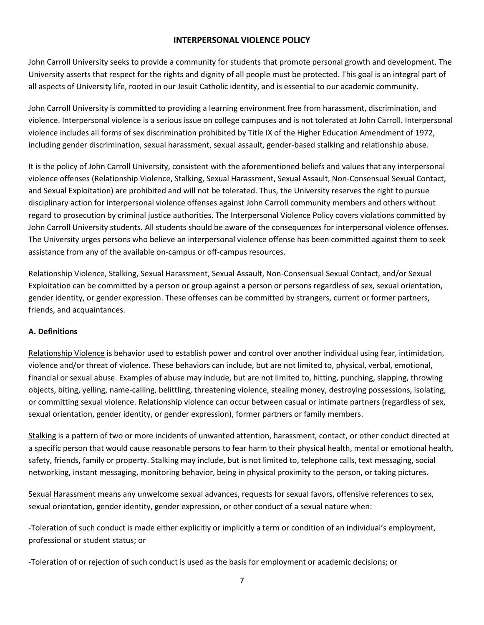### **INTERPERSONAL VIOLENCE POLICY**

John Carroll University seeks to provide a community for students that promote personal growth and development. The University asserts that respect for the rights and dignity of all people must be protected. This goal is an integral part of all aspects of University life, rooted in our Jesuit Catholic identity, and is essential to our academic community.

John Carroll University is committed to providing a learning environment free from harassment, discrimination, and violence. Interpersonal violence is a serious issue on college campuses and is not tolerated at John Carroll. Interpersonal violence includes all forms of sex discrimination prohibited by Title IX of the Higher Education Amendment of 1972, including gender discrimination, sexual harassment, sexual assault, gender-based stalking and relationship abuse.

It is the policy of John Carroll University, consistent with the aforementioned beliefs and values that any interpersonal violence offenses (Relationship Violence, Stalking, Sexual Harassment, Sexual Assault, Non-Consensual Sexual Contact, and Sexual Exploitation) are prohibited and will not be tolerated. Thus, the University reserves the right to pursue disciplinary action for interpersonal violence offenses against John Carroll community members and others without regard to prosecution by criminal justice authorities. The Interpersonal Violence Policy covers violations committed by John Carroll University students. All students should be aware of the consequences for interpersonal violence offenses. The University urges persons who believe an interpersonal violence offense has been committed against them to seek assistance from any of the available on-campus or off-campus resources.

Relationship Violence, Stalking, Sexual Harassment, Sexual Assault, Non-Consensual Sexual Contact, and/or Sexual Exploitation can be committed by a person or group against a person or persons regardless of sex, sexual orientation, gender identity, or gender expression. These offenses can be committed by strangers, current or former partners, friends, and acquaintances.

# **A. Definitions**

Relationship Violence is behavior used to establish power and control over another individual using fear, intimidation, violence and/or threat of violence. These behaviors can include, but are not limited to, physical, verbal, emotional, financial or sexual abuse. Examples of abuse may include, but are not limited to, hitting, punching, slapping, throwing objects, biting, yelling, name-calling, belittling, threatening violence, stealing money, destroying possessions, isolating, or committing sexual violence. Relationship violence can occur between casual or intimate partners (regardless of sex, sexual orientation, gender identity, or gender expression), former partners or family members.

Stalking is a pattern of two or more incidents of unwanted attention, harassment, contact, or other conduct directed at a specific person that would cause reasonable persons to fear harm to their physical health, mental or emotional health, safety, friends, family or property. Stalking may include, but is not limited to, telephone calls, text messaging, social networking, instant messaging, monitoring behavior, being in physical proximity to the person, or taking pictures.

Sexual Harassment means any unwelcome sexual advances, requests for sexual favors, offensive references to sex, sexual orientation, gender identity, gender expression, or other conduct of a sexual nature when:

-Toleration of such conduct is made either explicitly or implicitly a term or condition of an individual's employment, professional or student status; or

-Toleration of or rejection of such conduct is used as the basis for employment or academic decisions; or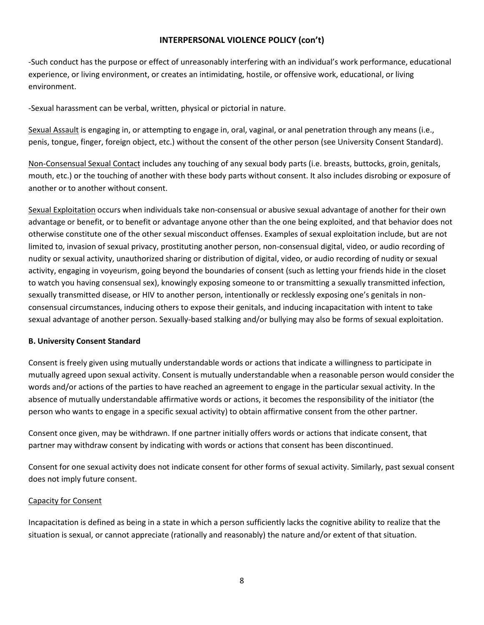-Such conduct has the purpose or effect of unreasonably interfering with an individual's work performance, educational experience, or living environment, or creates an intimidating, hostile, or offensive work, educational, or living environment.

-Sexual harassment can be verbal, written, physical or pictorial in nature.

Sexual Assault is engaging in, or attempting to engage in, oral, vaginal, or anal penetration through any means (i.e., penis, tongue, finger, foreign object, etc.) without the consent of the other person (see University Consent Standard).

Non-Consensual Sexual Contact includes any touching of any sexual body parts (i.e. breasts, buttocks, groin, genitals, mouth, etc.) or the touching of another with these body parts without consent. It also includes disrobing or exposure of another or to another without consent.

Sexual Exploitation occurs when individuals take non-consensual or abusive sexual advantage of another for their own advantage or benefit, or to benefit or advantage anyone other than the one being exploited, and that behavior does not otherwise constitute one of the other sexual misconduct offenses. Examples of sexual exploitation include, but are not limited to, invasion of sexual privacy, prostituting another person, non-consensual digital, video, or audio recording of nudity or sexual activity, unauthorized sharing or distribution of digital, video, or audio recording of nudity or sexual activity, engaging in voyeurism, going beyond the boundaries of consent (such as letting your friends hide in the closet to watch you having consensual sex), knowingly exposing someone to or transmitting a sexually transmitted infection, sexually transmitted disease, or HIV to another person, intentionally or recklessly exposing one's genitals in nonconsensual circumstances, inducing others to expose their genitals, and inducing incapacitation with intent to take sexual advantage of another person. Sexually-based stalking and/or bullying may also be forms of sexual exploitation.

#### **B. University Consent Standard**

Consent is freely given using mutually understandable words or actions that indicate a willingness to participate in mutually agreed upon sexual activity. Consent is mutually understandable when a reasonable person would consider the words and/or actions of the parties to have reached an agreement to engage in the particular sexual activity. In the absence of mutually understandable affirmative words or actions, it becomes the responsibility of the initiator (the person who wants to engage in a specific sexual activity) to obtain affirmative consent from the other partner.

Consent once given, may be withdrawn. If one partner initially offers words or actions that indicate consent, that partner may withdraw consent by indicating with words or actions that consent has been discontinued.

Consent for one sexual activity does not indicate consent for other forms of sexual activity. Similarly, past sexual consent does not imply future consent.

#### Capacity for Consent

Incapacitation is defined as being in a state in which a person sufficiently lacks the cognitive ability to realize that the situation is sexual, or cannot appreciate (rationally and reasonably) the nature and/or extent of that situation.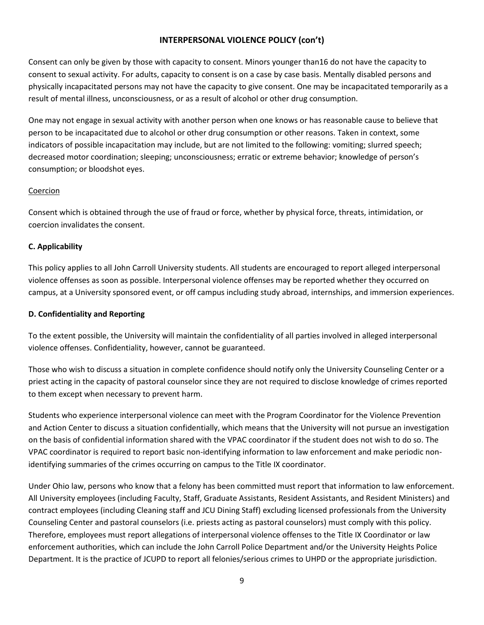Consent can only be given by those with capacity to consent. Minors younger than16 do not have the capacity to consent to sexual activity. For adults, capacity to consent is on a case by case basis. Mentally disabled persons and physically incapacitated persons may not have the capacity to give consent. One may be incapacitated temporarily as a result of mental illness, unconsciousness, or as a result of alcohol or other drug consumption.

One may not engage in sexual activity with another person when one knows or has reasonable cause to believe that person to be incapacitated due to alcohol or other drug consumption or other reasons. Taken in context, some indicators of possible incapacitation may include, but are not limited to the following: vomiting; slurred speech; decreased motor coordination; sleeping; unconsciousness; erratic or extreme behavior; knowledge of person's consumption; or bloodshot eyes.

# Coercion

Consent which is obtained through the use of fraud or force, whether by physical force, threats, intimidation, or coercion invalidates the consent.

# **C. Applicability**

This policy applies to all John Carroll University students. All students are encouraged to report alleged interpersonal violence offenses as soon as possible. Interpersonal violence offenses may be reported whether they occurred on campus, at a University sponsored event, or off campus including study abroad, internships, and immersion experiences.

#### **D. Confidentiality and Reporting**

To the extent possible, the University will maintain the confidentiality of all parties involved in alleged interpersonal violence offenses. Confidentiality, however, cannot be guaranteed.

Those who wish to discuss a situation in complete confidence should notify only the University Counseling Center or a priest acting in the capacity of pastoral counselor since they are not required to disclose knowledge of crimes reported to them except when necessary to prevent harm.

Students who experience interpersonal violence can meet with the Program Coordinator for the Violence Prevention and Action Center to discuss a situation confidentially, which means that the University will not pursue an investigation on the basis of confidential information shared with the VPAC coordinator if the student does not wish to do so. The VPAC coordinator is required to report basic non-identifying information to law enforcement and make periodic nonidentifying summaries of the crimes occurring on campus to the Title IX coordinator.

Under Ohio law, persons who know that a felony has been committed must report that information to law enforcement. All University employees (including Faculty, Staff, Graduate Assistants, Resident Assistants, and Resident Ministers) and contract employees (including Cleaning staff and JCU Dining Staff) excluding licensed professionals from the University Counseling Center and pastoral counselors (i.e. priests acting as pastoral counselors) must comply with this policy. Therefore, employees must report allegations of interpersonal violence offenses to the Title IX Coordinator or law enforcement authorities, which can include the John Carroll Police Department and/or the University Heights Police Department. It is the practice of JCUPD to report all felonies/serious crimes to UHPD or the appropriate jurisdiction.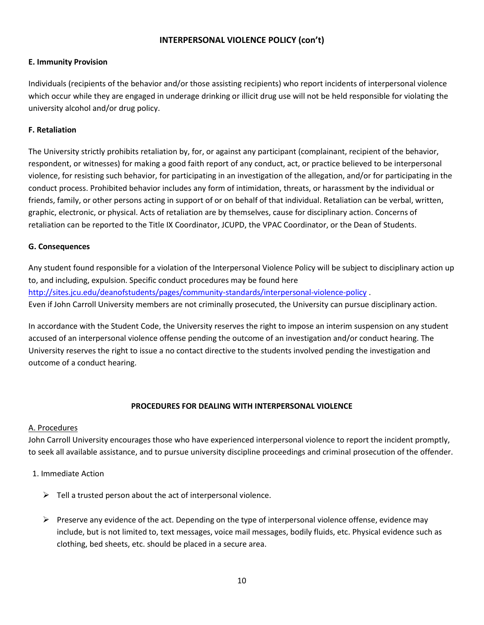### **E. Immunity Provision**

Individuals (recipients of the behavior and/or those assisting recipients) who report incidents of interpersonal violence which occur while they are engaged in underage drinking or illicit drug use will not be held responsible for violating the university alcohol and/or drug policy.

# **F. Retaliation**

The University strictly prohibits retaliation by, for, or against any participant (complainant, recipient of the behavior, respondent, or witnesses) for making a good faith report of any conduct, act, or practice believed to be interpersonal violence, for resisting such behavior, for participating in an investigation of the allegation, and/or for participating in the conduct process. Prohibited behavior includes any form of intimidation, threats, or harassment by the individual or friends, family, or other persons acting in support of or on behalf of that individual. Retaliation can be verbal, written, graphic, electronic, or physical. Acts of retaliation are by themselves, cause for disciplinary action. Concerns of retaliation can be reported to the Title IX Coordinator, JCUPD, the VPAC Coordinator, or the Dean of Students.

#### **G. Consequences**

Any student found responsible for a violation of the Interpersonal Violence Policy will be subject to disciplinary action up to, and including, expulsion. Specific conduct procedures may be found here <http://sites.jcu.edu/deanofstudents/pages/community-standards/interpersonal-violence-policy> . Even if John Carroll University members are not criminally prosecuted, the University can pursue disciplinary action.

In accordance with the Student Code, the University reserves the right to impose an interim suspension on any student accused of an interpersonal violence offense pending the outcome of an investigation and/or conduct hearing. The University reserves the right to issue a no contact directive to the students involved pending the investigation and outcome of a conduct hearing.

# **PROCEDURES FOR DEALING WITH INTERPERSONAL VIOLENCE**

# A. Procedures

John Carroll University encourages those who have experienced interpersonal violence to report the incident promptly, to seek all available assistance, and to pursue university discipline proceedings and criminal prosecution of the offender.

- 1. Immediate Action
	- $\triangleright$  Tell a trusted person about the act of interpersonal violence.
	- $\triangleright$  Preserve any evidence of the act. Depending on the type of interpersonal violence offense, evidence may include, but is not limited to, text messages, voice mail messages, bodily fluids, etc. Physical evidence such as clothing, bed sheets, etc. should be placed in a secure area.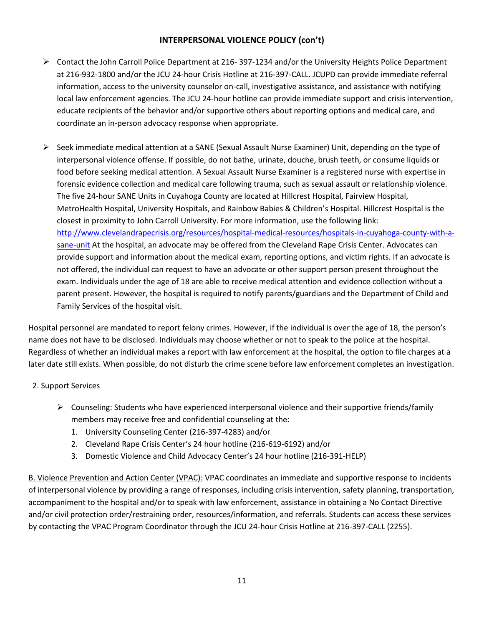- Contact the John Carroll Police Department at 216- 397-1234 and/or the University Heights Police Department at 216-932-1800 and/or the JCU 24-hour Crisis Hotline at 216-397-CALL. JCUPD can provide immediate referral information, access to the university counselor on-call, investigative assistance, and assistance with notifying local law enforcement agencies. The JCU 24-hour hotline can provide immediate support and crisis intervention, educate recipients of the behavior and/or supportive others about reporting options and medical care, and coordinate an in-person advocacy response when appropriate.
- $\triangleright$  Seek immediate medical attention at a SANE (Sexual Assault Nurse Examiner) Unit, depending on the type of interpersonal violence offense. If possible, do not bathe, urinate, douche, brush teeth, or consume liquids or food before seeking medical attention. A Sexual Assault Nurse Examiner is a registered nurse with expertise in forensic evidence collection and medical care following trauma, such as sexual assault or relationship violence. The five 24-hour SANE Units in Cuyahoga County are located at Hillcrest Hospital, Fairview Hospital, MetroHealth Hospital, University Hospitals, and Rainbow Babies & Children's Hospital. Hillcrest Hospital is the closest in proximity to John Carroll University. For more information, use the following link: [http://www.clevelandrapecrisis.org/resources/hospital-medical-resources/hospitals-in-cuyahoga-county-with-a](http://www.clevelandrapecrisis.org/resources/hospital-medical-resources/hospitals-in-cuyahoga-county-with-a-sane-unit)[sane-unit](http://www.clevelandrapecrisis.org/resources/hospital-medical-resources/hospitals-in-cuyahoga-county-with-a-sane-unit) At the hospital, an advocate may be offered from the Cleveland Rape Crisis Center. Advocates can provide support and information about the medical exam, reporting options, and victim rights. If an advocate is not offered, the individual can request to have an advocate or other support person present throughout the exam. Individuals under the age of 18 are able to receive medical attention and evidence collection without a parent present. However, the hospital is required to notify parents/guardians and the Department of Child and Family Services of the hospital visit.

Hospital personnel are mandated to report felony crimes. However, if the individual is over the age of 18, the person's name does not have to be disclosed. Individuals may choose whether or not to speak to the police at the hospital. Regardless of whether an individual makes a report with law enforcement at the hospital, the option to file charges at a later date still exists. When possible, do not disturb the crime scene before law enforcement completes an investigation.

# 2. Support Services

- $\triangleright$  Counseling: Students who have experienced interpersonal violence and their supportive friends/family members may receive free and confidential counseling at the:
	- 1. University Counseling Center (216-397-4283) and/or
	- 2. Cleveland Rape Crisis Center's 24 hour hotline (216-619-6192) and/or
	- 3. Domestic Violence and Child Advocacy Center's 24 hour hotline (216-391-HELP)

B. Violence Prevention and Action Center (VPAC): VPAC coordinates an immediate and supportive response to incidents of interpersonal violence by providing a range of responses, including crisis intervention, safety planning, transportation, accompaniment to the hospital and/or to speak with law enforcement, assistance in obtaining a No Contact Directive and/or civil protection order/restraining order, resources/information, and referrals. Students can access these services by contacting the VPAC Program Coordinator through the JCU 24-hour Crisis Hotline at 216-397-CALL (2255).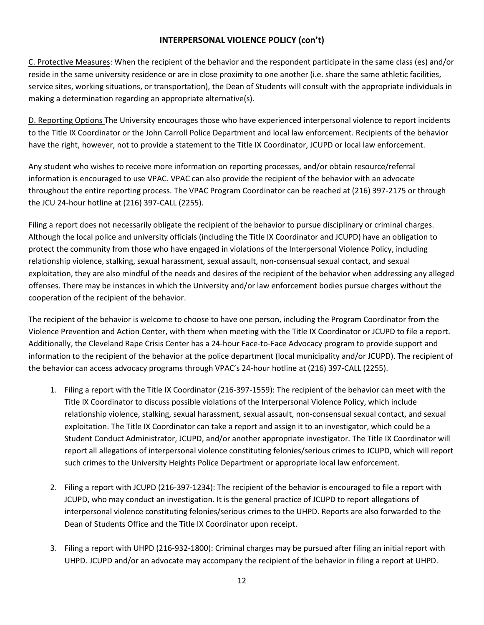C. Protective Measures: When the recipient of the behavior and the respondent participate in the same class (es) and/or reside in the same university residence or are in close proximity to one another (i.e. share the same athletic facilities, service sites, working situations, or transportation), the Dean of Students will consult with the appropriate individuals in making a determination regarding an appropriate alternative(s).

D. Reporting Options The University encourages those who have experienced interpersonal violence to report incidents to the Title IX Coordinator or the John Carroll Police Department and local law enforcement. Recipients of the behavior have the right, however, not to provide a statement to the Title IX Coordinator, JCUPD or local law enforcement.

Any student who wishes to receive more information on reporting processes, and/or obtain resource/referral information is encouraged to use VPAC. VPAC can also provide the recipient of the behavior with an advocate throughout the entire reporting process. The VPAC Program Coordinator can be reached at (216) 397-2175 or through the JCU 24-hour hotline at (216) 397-CALL (2255).

Filing a report does not necessarily obligate the recipient of the behavior to pursue disciplinary or criminal charges. Although the local police and university officials (including the Title IX Coordinator and JCUPD) have an obligation to protect the community from those who have engaged in violations of the Interpersonal Violence Policy, including relationship violence, stalking, sexual harassment, sexual assault, non-consensual sexual contact, and sexual exploitation, they are also mindful of the needs and desires of the recipient of the behavior when addressing any alleged offenses. There may be instances in which the University and/or law enforcement bodies pursue charges without the cooperation of the recipient of the behavior.

The recipient of the behavior is welcome to choose to have one person, including the Program Coordinator from the Violence Prevention and Action Center, with them when meeting with the Title IX Coordinator or JCUPD to file a report. Additionally, the Cleveland Rape Crisis Center has a 24-hour Face-to-Face Advocacy program to provide support and information to the recipient of the behavior at the police department (local municipality and/or JCUPD). The recipient of the behavior can access advocacy programs through VPAC's 24-hour hotline at (216) 397-CALL (2255).

- 1. Filing a report with the Title IX Coordinator (216-397-1559): The recipient of the behavior can meet with the Title IX Coordinator to discuss possible violations of the Interpersonal Violence Policy, which include relationship violence, stalking, sexual harassment, sexual assault, non-consensual sexual contact, and sexual exploitation. The Title IX Coordinator can take a report and assign it to an investigator, which could be a Student Conduct Administrator, JCUPD, and/or another appropriate investigator. The Title IX Coordinator will report all allegations of interpersonal violence constituting felonies/serious crimes to JCUPD, which will report such crimes to the University Heights Police Department or appropriate local law enforcement.
- 2. Filing a report with JCUPD (216-397-1234): The recipient of the behavior is encouraged to file a report with JCUPD, who may conduct an investigation. It is the general practice of JCUPD to report allegations of interpersonal violence constituting felonies/serious crimes to the UHPD. Reports are also forwarded to the Dean of Students Office and the Title IX Coordinator upon receipt.
- 3. Filing a report with UHPD (216-932-1800): Criminal charges may be pursued after filing an initial report with UHPD. JCUPD and/or an advocate may accompany the recipient of the behavior in filing a report at UHPD.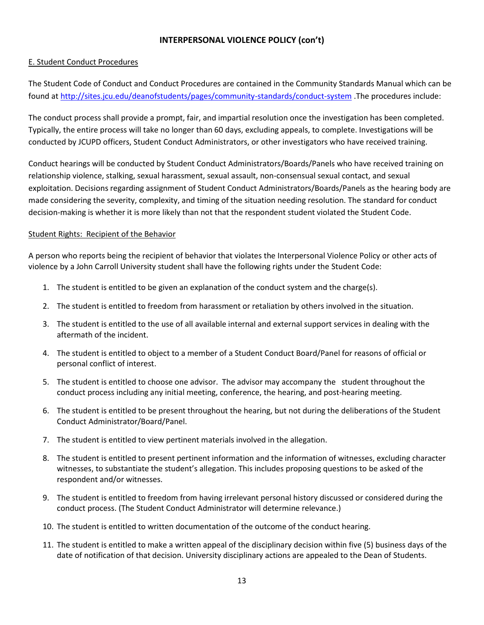#### E. Student Conduct Procedures

The Student Code of Conduct and Conduct Procedures are contained in the Community Standards Manual which can be found at<http://sites.jcu.edu/deanofstudents/pages/community-standards/conduct-system> .The procedures include:

The conduct process shall provide a prompt, fair, and impartial resolution once the investigation has been completed. Typically, the entire process will take no longer than 60 days, excluding appeals, to complete. Investigations will be conducted by JCUPD officers, Student Conduct Administrators, or other investigators who have received training.

Conduct hearings will be conducted by Student Conduct Administrators/Boards/Panels who have received training on relationship violence, stalking, sexual harassment, sexual assault, non-consensual sexual contact, and sexual exploitation. Decisions regarding assignment of Student Conduct Administrators/Boards/Panels as the hearing body are made considering the severity, complexity, and timing of the situation needing resolution. The standard for conduct decision-making is whether it is more likely than not that the respondent student violated the Student Code.

#### Student Rights: Recipient of the Behavior

A person who reports being the recipient of behavior that violates the Interpersonal Violence Policy or other acts of violence by a John Carroll University student shall have the following rights under the Student Code:

- 1. The student is entitled to be given an explanation of the conduct system and the charge(s).
- 2. The student is entitled to freedom from harassment or retaliation by others involved in the situation.
- 3. The student is entitled to the use of all available internal and external support services in dealing with the aftermath of the incident.
- 4. The student is entitled to object to a member of a Student Conduct Board/Panel for reasons of official or personal conflict of interest.
- 5. The student is entitled to choose one advisor. The advisor may accompany the student throughout the conduct process including any initial meeting, conference, the hearing, and post-hearing meeting.
- 6. The student is entitled to be present throughout the hearing, but not during the deliberations of the Student Conduct Administrator/Board/Panel.
- 7. The student is entitled to view pertinent materials involved in the allegation.
- 8. The student is entitled to present pertinent information and the information of witnesses, excluding character witnesses, to substantiate the student's allegation. This includes proposing questions to be asked of the respondent and/or witnesses.
- 9. The student is entitled to freedom from having irrelevant personal history discussed or considered during the conduct process. (The Student Conduct Administrator will determine relevance.)
- 10. The student is entitled to written documentation of the outcome of the conduct hearing.
- 11. The student is entitled to make a written appeal of the disciplinary decision within five (5) business days of the date of notification of that decision. University disciplinary actions are appealed to the Dean of Students.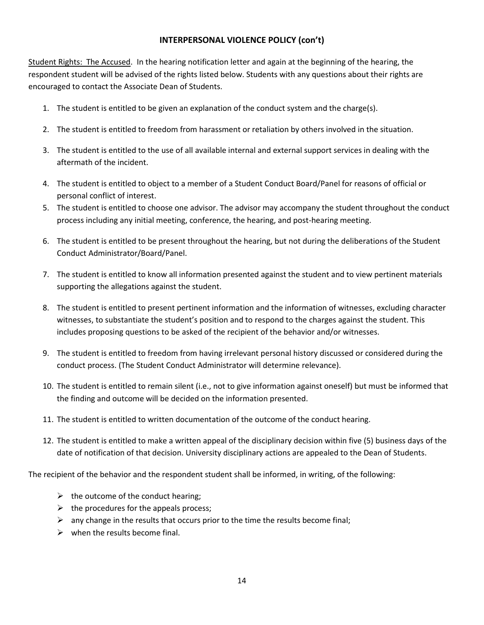Student Rights: The Accused. In the hearing notification letter and again at the beginning of the hearing, the respondent student will be advised of the rights listed below. Students with any questions about their rights are encouraged to contact the Associate Dean of Students.

- 1. The student is entitled to be given an explanation of the conduct system and the charge(s).
- 2. The student is entitled to freedom from harassment or retaliation by others involved in the situation.
- 3. The student is entitled to the use of all available internal and external support services in dealing with the aftermath of the incident.
- 4. The student is entitled to object to a member of a Student Conduct Board/Panel for reasons of official or personal conflict of interest.
- 5. The student is entitled to choose one advisor. The advisor may accompany the student throughout the conduct process including any initial meeting, conference, the hearing, and post-hearing meeting.
- 6. The student is entitled to be present throughout the hearing, but not during the deliberations of the Student Conduct Administrator/Board/Panel.
- 7. The student is entitled to know all information presented against the student and to view pertinent materials supporting the allegations against the student.
- 8. The student is entitled to present pertinent information and the information of witnesses, excluding character witnesses, to substantiate the student's position and to respond to the charges against the student. This includes proposing questions to be asked of the recipient of the behavior and/or witnesses.
- 9. The student is entitled to freedom from having irrelevant personal history discussed or considered during the conduct process. (The Student Conduct Administrator will determine relevance).
- 10. The student is entitled to remain silent (i.e., not to give information against oneself) but must be informed that the finding and outcome will be decided on the information presented.
- 11. The student is entitled to written documentation of the outcome of the conduct hearing.
- 12. The student is entitled to make a written appeal of the disciplinary decision within five (5) business days of the date of notification of that decision. University disciplinary actions are appealed to the Dean of Students.

The recipient of the behavior and the respondent student shall be informed, in writing, of the following:

- $\triangleright$  the outcome of the conduct hearing;
- $\triangleright$  the procedures for the appeals process;
- $\triangleright$  any change in the results that occurs prior to the time the results become final;
- $\triangleright$  when the results become final.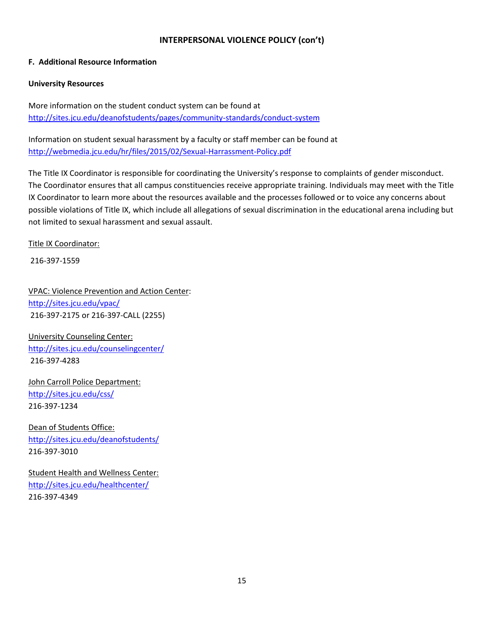#### **F. Additional Resource Information**

#### **University Resources**

More information on the student conduct system can be found at <http://sites.jcu.edu/deanofstudents/pages/community-standards/conduct-system>

Information on student sexual harassment by a faculty or staff member can be found at <http://webmedia.jcu.edu/hr/files/2015/02/Sexual-Harrassment-Policy.pdf>

The Title IX Coordinator is responsible for coordinating the University's response to complaints of gender misconduct. The Coordinator ensures that all campus constituencies receive appropriate training. Individuals may meet with the Title IX Coordinator to learn more about the resources available and the processes followed or to voice any concerns about possible violations of Title IX, which include all allegations of sexual discrimination in the educational arena including but not limited to sexual harassment and sexual assault.

Title IX Coordinator:

216-397-1559

VPAC: Violence Prevention and Action Center: <http://sites.jcu.edu/vpac/> 216-397-2175 or 216-397-CALL (2255)

University Counseling Center: <http://sites.jcu.edu/counselingcenter/> 216-397-4283

John Carroll Police Department: <http://sites.jcu.edu/css/> 216-397-1234

Dean of Students Office: <http://sites.jcu.edu/deanofstudents/> 216-397-3010

Student Health and Wellness Center: <http://sites.jcu.edu/healthcenter/> 216-397-4349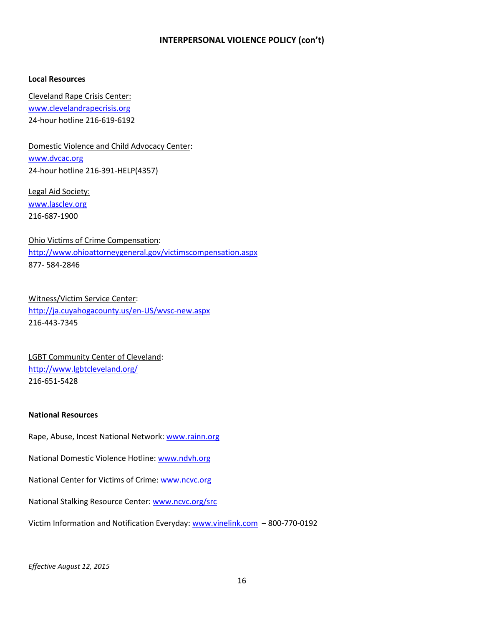#### **Local Resources**

Cleveland Rape Crisis Center: [www.clevelandrapecrisis.org](http://www.clevelandrapecrisis.org/) 24-hour hotline 216-619-6192

Domestic Violence and Child Advocacy Center: [www.dvcac.org](http://www.dvcac.org/) 24-hour hotline 216-391-HELP(4357)

Legal Aid Society: [www.lasclev.org](http://www.lasclev.org/) 216-687-1900

Ohio Victims of Crime Compensation: <http://www.ohioattorneygeneral.gov/victimscompensation.aspx> 877- 584-2846

Witness/Victim Service Center: <http://ja.cuyahogacounty.us/en-US/wvsc-new.aspx> 216-443-7345

LGBT Community Center of Cleveland: <http://www.lgbtcleveland.org/> 216-651-5428

#### **National Resources**

Rape, Abuse, Incest National Network: [www.rainn.org](http://www.rainn.org/)

National Domestic Violence Hotline: [www.ndvh.org](http://www.ndvh.org/)

National Center for Victims of Crime: [www.ncvc.org](http://www.ncvc.org/)

National Stalking Resource Center: [www.ncvc.org/src](http://www.ncvc.org/src)

Victim Information and Notification Everyday: [www.vinelink.com](http://www.vinelink.com/) – 800-770-0192

*Effective August 12, 2015*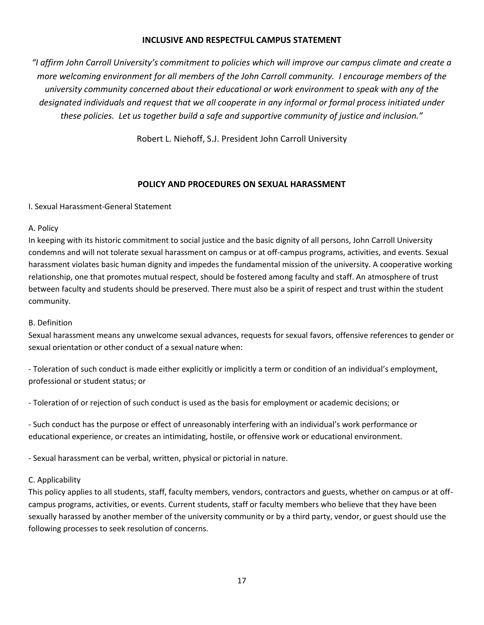### **INCLUSIVE AND RESPECTFUL CAMPUS STATEMENT**

*"I affirm John Carroll University's commitment to policies which will improve our campus climate and create a more welcoming environment for all members of the John Carroll community. I encourage members of the university community concerned about their educational or work environment to speak with any of the designated individuals and request that we all cooperate in any informal or formal process initiated under these policies. Let us together build a safe and supportive community of justice and inclusion."*

Robert L. Niehoff, S.J. President John Carroll University

# **POLICY AND PROCEDURES ON SEXUAL HARASSMENT**

I. Sexual Harassment-General Statement

# A. Policy

In keeping with its historic commitment to social justice and the basic dignity of all persons, John Carroll University condemns and will not tolerate sexual harassment on campus or at off-campus programs, activities, and events. Sexual harassment violates basic human dignity and impedes the fundamental mission of the university. A cooperative working relationship, one that promotes mutual respect, should be fostered among faculty and staff. An atmosphere of trust between faculty and students should be preserved. There must also be a spirit of respect and trust within the student community.

# B. Definition

Sexual harassment means any unwelcome sexual advances, requests for sexual favors, offensive references to gender or sexual orientation or other conduct of a sexual nature when:

- Toleration of such conduct is made either explicitly or implicitly a term or condition of an individual's employment, professional or student status; or

- Toleration of or rejection of such conduct is used as the basis for employment or academic decisions; or

- Such conduct has the purpose or effect of unreasonably interfering with an individual's work performance or educational experience, or creates an intimidating, hostile, or offensive work or educational environment.

- Sexual harassment can be verbal, written, physical or pictorial in nature.

# C. Applicability

This policy applies to all students, staff, faculty members, vendors, contractors and guests, whether on campus or at offcampus programs, activities, or events. Current students, staff or faculty members who believe that they have been sexually harassed by another member of the university community or by a third party, vendor, or guest should use the following processes to seek resolution of concerns.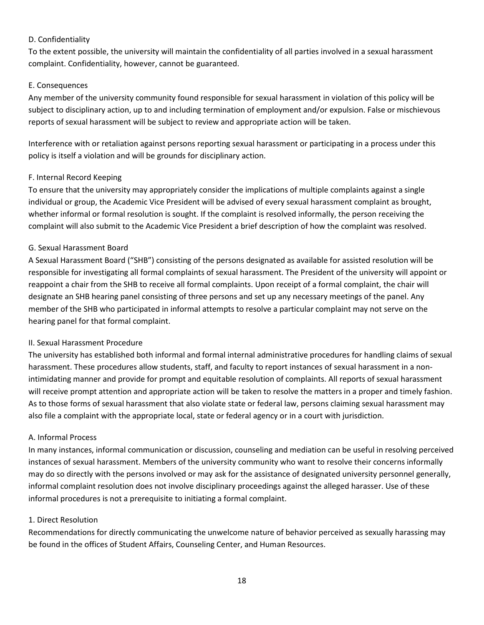# D. Confidentiality

To the extent possible, the university will maintain the confidentiality of all parties involved in a sexual harassment complaint. Confidentiality, however, cannot be guaranteed.

# E. Consequences

Any member of the university community found responsible for sexual harassment in violation of this policy will be subject to disciplinary action, up to and including termination of employment and/or expulsion. False or mischievous reports of sexual harassment will be subject to review and appropriate action will be taken.

Interference with or retaliation against persons reporting sexual harassment or participating in a process under this policy is itself a violation and will be grounds for disciplinary action.

# F. Internal Record Keeping

To ensure that the university may appropriately consider the implications of multiple complaints against a single individual or group, the Academic Vice President will be advised of every sexual harassment complaint as brought, whether informal or formal resolution is sought. If the complaint is resolved informally, the person receiving the complaint will also submit to the Academic Vice President a brief description of how the complaint was resolved.

# G. Sexual Harassment Board

A Sexual Harassment Board ("SHB") consisting of the persons designated as available for assisted resolution will be responsible for investigating all formal complaints of sexual harassment. The President of the university will appoint or reappoint a chair from the SHB to receive all formal complaints. Upon receipt of a formal complaint, the chair will designate an SHB hearing panel consisting of three persons and set up any necessary meetings of the panel. Any member of the SHB who participated in informal attempts to resolve a particular complaint may not serve on the hearing panel for that formal complaint.

# II. Sexual Harassment Procedure

The university has established both informal and formal internal administrative procedures for handling claims of sexual harassment. These procedures allow students, staff, and faculty to report instances of sexual harassment in a nonintimidating manner and provide for prompt and equitable resolution of complaints. All reports of sexual harassment will receive prompt attention and appropriate action will be taken to resolve the matters in a proper and timely fashion. As to those forms of sexual harassment that also violate state or federal law, persons claiming sexual harassment may also file a complaint with the appropriate local, state or federal agency or in a court with jurisdiction.

#### A. Informal Process

In many instances, informal communication or discussion, counseling and mediation can be useful in resolving perceived instances of sexual harassment. Members of the university community who want to resolve their concerns informally may do so directly with the persons involved or may ask for the assistance of designated university personnel generally, informal complaint resolution does not involve disciplinary proceedings against the alleged harasser. Use of these informal procedures is not a prerequisite to initiating a formal complaint.

#### 1. Direct Resolution

Recommendations for directly communicating the unwelcome nature of behavior perceived as sexually harassing may be found in the offices of Student Affairs, Counseling Center, and Human Resources.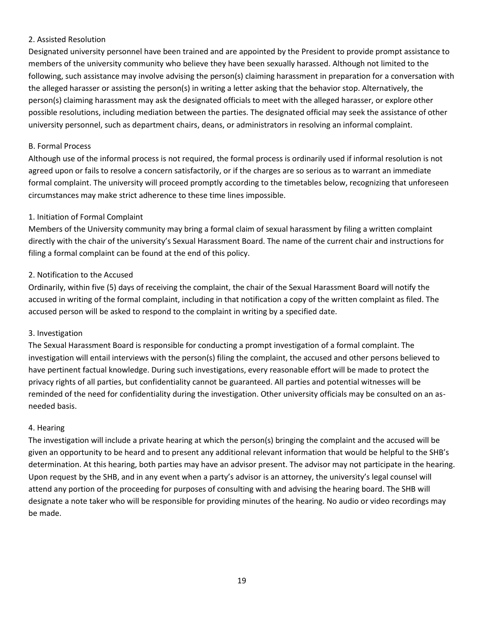# 2. Assisted Resolution

Designated university personnel have been trained and are appointed by the President to provide prompt assistance to members of the university community who believe they have been sexually harassed. Although not limited to the following, such assistance may involve advising the person(s) claiming harassment in preparation for a conversation with the alleged harasser or assisting the person(s) in writing a letter asking that the behavior stop. Alternatively, the person(s) claiming harassment may ask the designated officials to meet with the alleged harasser, or explore other possible resolutions, including mediation between the parties. The designated official may seek the assistance of other university personnel, such as department chairs, deans, or administrators in resolving an informal complaint.

#### B. Formal Process

Although use of the informal process is not required, the formal process is ordinarily used if informal resolution is not agreed upon or fails to resolve a concern satisfactorily, or if the charges are so serious as to warrant an immediate formal complaint. The university will proceed promptly according to the timetables below, recognizing that unforeseen circumstances may make strict adherence to these time lines impossible.

#### 1. Initiation of Formal Complaint

Members of the University community may bring a formal claim of sexual harassment by filing a written complaint directly with the chair of the university's Sexual Harassment Board. The name of the current chair and instructions for filing a formal complaint can be found at the end of this policy.

#### 2. Notification to the Accused

Ordinarily, within five (5) days of receiving the complaint, the chair of the Sexual Harassment Board will notify the accused in writing of the formal complaint, including in that notification a copy of the written complaint as filed. The accused person will be asked to respond to the complaint in writing by a specified date.

#### 3. Investigation

The Sexual Harassment Board is responsible for conducting a prompt investigation of a formal complaint. The investigation will entail interviews with the person(s) filing the complaint, the accused and other persons believed to have pertinent factual knowledge. During such investigations, every reasonable effort will be made to protect the privacy rights of all parties, but confidentiality cannot be guaranteed. All parties and potential witnesses will be reminded of the need for confidentiality during the investigation. Other university officials may be consulted on an asneeded basis.

#### 4. Hearing

The investigation will include a private hearing at which the person(s) bringing the complaint and the accused will be given an opportunity to be heard and to present any additional relevant information that would be helpful to the SHB's determination. At this hearing, both parties may have an advisor present. The advisor may not participate in the hearing. Upon request by the SHB, and in any event when a party's advisor is an attorney, the university's legal counsel will attend any portion of the proceeding for purposes of consulting with and advising the hearing board. The SHB will designate a note taker who will be responsible for providing minutes of the hearing. No audio or video recordings may be made.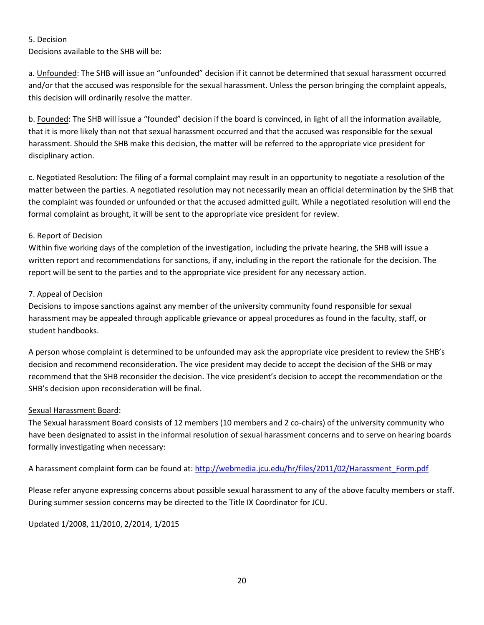# 5. Decision

Decisions available to the SHB will be:

a. Unfounded: The SHB will issue an "unfounded" decision if it cannot be determined that sexual harassment occurred and/or that the accused was responsible for the sexual harassment. Unless the person bringing the complaint appeals, this decision will ordinarily resolve the matter.

b. Founded: The SHB will issue a "founded" decision if the board is convinced, in light of all the information available, that it is more likely than not that sexual harassment occurred and that the accused was responsible for the sexual harassment. Should the SHB make this decision, the matter will be referred to the appropriate vice president for disciplinary action.

c. Negotiated Resolution: The filing of a formal complaint may result in an opportunity to negotiate a resolution of the matter between the parties. A negotiated resolution may not necessarily mean an official determination by the SHB that the complaint was founded or unfounded or that the accused admitted guilt. While a negotiated resolution will end the formal complaint as brought, it will be sent to the appropriate vice president for review.

# 6. Report of Decision

Within five working days of the completion of the investigation, including the private hearing, the SHB will issue a written report and recommendations for sanctions, if any, including in the report the rationale for the decision. The report will be sent to the parties and to the appropriate vice president for any necessary action.

# 7. Appeal of Decision

Decisions to impose sanctions against any member of the university community found responsible for sexual harassment may be appealed through applicable grievance or appeal procedures as found in the faculty, staff, or student handbooks.

A person whose complaint is determined to be unfounded may ask the appropriate vice president to review the SHB's decision and recommend reconsideration. The vice president may decide to accept the decision of the SHB or may recommend that the SHB reconsider the decision. The vice president's decision to accept the recommendation or the SHB's decision upon reconsideration will be final.

# Sexual Harassment Board:

The Sexual harassment Board consists of 12 members (10 members and 2 co-chairs) of the university community who have been designated to assist in the informal resolution of sexual harassment concerns and to serve on hearing boards formally investigating when necessary:

A harassment complaint form can be found at: http://webmedia.jcu.edu/hr/files/2011/02/Harassment Form.pdf

Please refer anyone expressing concerns about possible sexual harassment to any of the above faculty members or staff. During summer session concerns may be directed to the Title IX Coordinator for JCU.

Updated 1/2008, 11/2010, 2/2014, 1/2015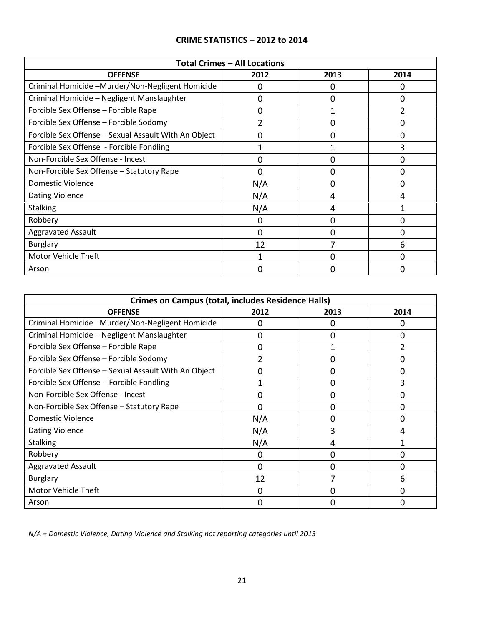# **CRIME STATISTICS – 2012 to 2014**

| <b>Total Crimes - All Locations</b>                  |                |          |                |  |  |  |
|------------------------------------------------------|----------------|----------|----------------|--|--|--|
| <b>OFFENSE</b>                                       | 2012           | 2013     | 2014           |  |  |  |
| Criminal Homicide -Murder/Non-Negligent Homicide     | 0              | $\Omega$ | 0              |  |  |  |
| Criminal Homicide - Negligent Manslaughter           | 0              | $\Omega$ | 0              |  |  |  |
| Forcible Sex Offense - Forcible Rape                 | 0              |          | $\overline{2}$ |  |  |  |
| Forcible Sex Offense - Forcible Sodomy               | $\overline{2}$ | 0        | 0              |  |  |  |
| Forcible Sex Offense - Sexual Assault With An Object | 0              | 0        | 0              |  |  |  |
| Forcible Sex Offense - Forcible Fondling             |                |          | 3              |  |  |  |
| Non-Forcible Sex Offense - Incest                    | 0              | O        | 0              |  |  |  |
| Non-Forcible Sex Offense - Statutory Rape            | 0              | O        | 0              |  |  |  |
| Domestic Violence                                    | N/A            | O        | 0              |  |  |  |
| <b>Dating Violence</b>                               | N/A            | 4        | 4              |  |  |  |
| <b>Stalking</b>                                      | N/A            | 4        |                |  |  |  |
| Robbery                                              | 0              | $\Omega$ | 0              |  |  |  |
| <b>Aggravated Assault</b>                            | $\Omega$       | $\Omega$ | 0              |  |  |  |
| <b>Burglary</b>                                      | 12             | 7        | 6              |  |  |  |
| <b>Motor Vehicle Theft</b>                           | 1              | $\Omega$ | 0              |  |  |  |
| Arson                                                | 0              | O        | 0              |  |  |  |

| <b>Crimes on Campus (total, includes Residence Halls)</b> |      |      |      |  |  |
|-----------------------------------------------------------|------|------|------|--|--|
| <b>OFFENSE</b>                                            | 2012 | 2013 | 2014 |  |  |
| Criminal Homicide -Murder/Non-Negligent Homicide          | O    | O    | 0    |  |  |
| Criminal Homicide - Negligent Manslaughter                | 0    | 0    | 0    |  |  |
| Forcible Sex Offense - Forcible Rape                      | 0    |      | 2    |  |  |
| Forcible Sex Offense - Forcible Sodomy                    | 2    |      | 0    |  |  |
| Forcible Sex Offense - Sexual Assault With An Object      | 0    | ŋ    | 0    |  |  |
| Forcible Sex Offense - Forcible Fondling                  |      | ŋ    | 3    |  |  |
| Non-Forcible Sex Offense - Incest                         | ი    |      | 0    |  |  |
| Non-Forcible Sex Offense - Statutory Rape                 | 0    | 0    | 0    |  |  |
| Domestic Violence                                         | N/A  | O    | 0    |  |  |
| <b>Dating Violence</b>                                    | N/A  |      | 4    |  |  |
| <b>Stalking</b>                                           | N/A  | 4    |      |  |  |
| Robbery                                                   | 0    | O    | 0    |  |  |
| <b>Aggravated Assault</b>                                 | 0    | O    | 0    |  |  |
| <b>Burglary</b>                                           | 12   | 7    | 6    |  |  |
| Motor Vehicle Theft                                       | 0    |      | 0    |  |  |
| Arson                                                     | U    |      | U    |  |  |

*N/A = Domestic Violence, Dating Violence and Stalking not reporting categories until 2013*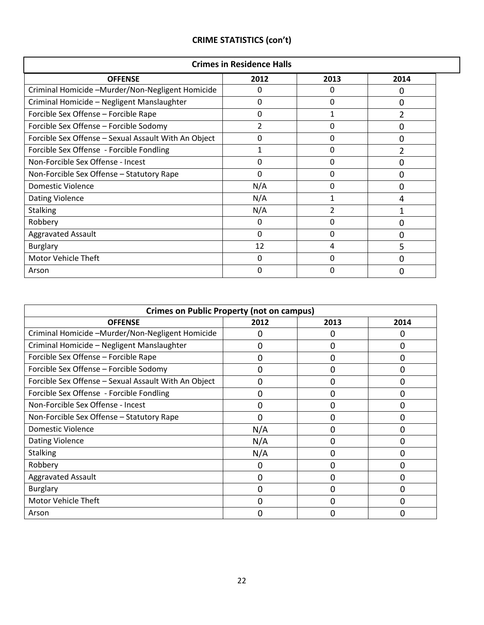|  |  |  | <b>CRIME STATISTICS (con't)</b> |
|--|--|--|---------------------------------|
|--|--|--|---------------------------------|

| <b>Crimes in Residence Halls</b>                     |          |                |      |  |  |
|------------------------------------------------------|----------|----------------|------|--|--|
| <b>OFFENSE</b>                                       | 2012     | 2013           | 2014 |  |  |
| Criminal Homicide -Murder/Non-Negligent Homicide     | $\Omega$ | $\Omega$       | 0    |  |  |
| Criminal Homicide - Negligent Manslaughter           | 0        | $\Omega$       | 0    |  |  |
| Forcible Sex Offense - Forcible Rape                 | 0        | 1              |      |  |  |
| Forcible Sex Offense - Forcible Sodomy               | 2        | 0              | O    |  |  |
| Forcible Sex Offense - Sexual Assault With An Object | 0        | $\Omega$       | 0    |  |  |
| Forcible Sex Offense - Forcible Fondling             | 1        | 0              |      |  |  |
| Non-Forcible Sex Offense - Incest                    | 0        | 0              | O    |  |  |
| Non-Forcible Sex Offense - Statutory Rape            | 0        | 0              | 0    |  |  |
| Domestic Violence                                    | N/A      | 0              | 0    |  |  |
| <b>Dating Violence</b>                               | N/A      | 1              | 4    |  |  |
| <b>Stalking</b>                                      | N/A      | $\overline{2}$ |      |  |  |
| Robbery                                              | $\Omega$ | 0              | 0    |  |  |
| <b>Aggravated Assault</b>                            | 0        | 0              | 0    |  |  |
| <b>Burglary</b>                                      | 12       | 4              | 5    |  |  |
| <b>Motor Vehicle Theft</b>                           | $\Omega$ | $\Omega$       | 0    |  |  |
| Arson                                                | $\Omega$ | $\Omega$       | ი    |  |  |

| <b>Crimes on Public Property (not on campus)</b>     |      |          |          |  |  |  |
|------------------------------------------------------|------|----------|----------|--|--|--|
| <b>OFFENSE</b>                                       | 2012 | 2013     | 2014     |  |  |  |
| Criminal Homicide -Murder/Non-Negligent Homicide     | 0    | 0        | 0        |  |  |  |
| Criminal Homicide - Negligent Manslaughter           | 0    | 0        | 0        |  |  |  |
| Forcible Sex Offense - Forcible Rape                 | 0    | 0        | 0        |  |  |  |
| Forcible Sex Offense - Forcible Sodomy               | 0    | ი        | 0        |  |  |  |
| Forcible Sex Offense - Sexual Assault With An Object | 0    | 0        | 0        |  |  |  |
| Forcible Sex Offense - Forcible Fondling             | 0    | 0        | 0        |  |  |  |
| Non-Forcible Sex Offense - Incest                    | 0    | 0        | 0        |  |  |  |
| Non-Forcible Sex Offense - Statutory Rape            | 0    | 0        | 0        |  |  |  |
| Domestic Violence                                    | N/A  | 0        | 0        |  |  |  |
| <b>Dating Violence</b>                               | N/A  | 0        | 0        |  |  |  |
| <b>Stalking</b>                                      | N/A  | $\Omega$ | $\Omega$ |  |  |  |
| Robbery                                              | 0    | 0        | $\Omega$ |  |  |  |
| <b>Aggravated Assault</b>                            | 0    | 0        | $\Omega$ |  |  |  |
| <b>Burglary</b>                                      | 0    | 0        | 0        |  |  |  |
| Motor Vehicle Theft                                  | 0    | O        | 0        |  |  |  |
| Arson                                                | ი    |          |          |  |  |  |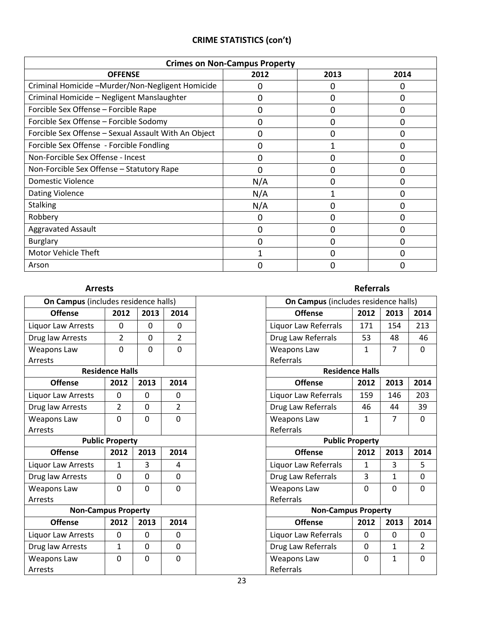|  | <b>CRIME STATISTICS (con't)</b> |  |
|--|---------------------------------|--|
|--|---------------------------------|--|

| <b>Crimes on Non-Campus Property</b>                 |      |      |      |  |  |  |
|------------------------------------------------------|------|------|------|--|--|--|
| <b>OFFENSE</b>                                       | 2012 | 2013 | 2014 |  |  |  |
| Criminal Homicide -Murder/Non-Negligent Homicide     | 0    |      | 0    |  |  |  |
| Criminal Homicide - Negligent Manslaughter           | 0    | O    | 0    |  |  |  |
| Forcible Sex Offense - Forcible Rape                 | 0    | O    | 0    |  |  |  |
| Forcible Sex Offense - Forcible Sodomy               | 0    | O    | 0    |  |  |  |
| Forcible Sex Offense - Sexual Assault With An Object | 0    | O    | 0    |  |  |  |
| Forcible Sex Offense - Forcible Fondling             | 0    |      | 0    |  |  |  |
| Non-Forcible Sex Offense - Incest                    | 0    |      | 0    |  |  |  |
| Non-Forcible Sex Offense - Statutory Rape            | 0    | 0    | 0    |  |  |  |
| Domestic Violence                                    | N/A  |      | 0    |  |  |  |
| <b>Dating Violence</b>                               | N/A  |      | O    |  |  |  |
| <b>Stalking</b>                                      | N/A  |      | 0    |  |  |  |
| Robbery                                              | 0    | O    | 0    |  |  |  |
| <b>Aggravated Assault</b>                            | 0    | 0    | 0    |  |  |  |
| <b>Burglary</b>                                      | 0    | 0    | 0    |  |  |  |
| Motor Vehicle Theft                                  | 1    | ∩    | 0    |  |  |  |
| Arson                                                | 0    |      | 0    |  |  |  |

#### Arrests **Referrals On Campus** (includes residence halls) **Con Campus** (includes residence halls) **Offense 2012 2013 2014 Offense 2012 2013 2014** Liquor Law Arrests | 0 | 0 | 0 | 10 | Liquor Law Referrals | 171 | 154 | 213 Drug law Arrests 2 0 2 Drug Law Referrals 53 48 46 Weapons Law Arrests 0 0 0 Weapons Law Referrals 1 | 7 | 0 **Residence Halls Residence Halls Offense 2012 2013 2014 Offense 2012 2013 2014** Liquor Law Arrests  $\begin{vmatrix} 0 & 0 & 0 \\ 0 & 0 & 0 \end{vmatrix}$  C  $\begin{vmatrix} 0 & 0 & 0 \\ 0 & 0 & 0 \\ 0 & 0 & 0 \end{vmatrix}$  Liquor Law Referrals  $\begin{vmatrix} 159 & 146 & 203 \\ 0 & 0 & 0 \\ 0 & 0 & 0 \end{vmatrix}$ Drug law Arrests 2 0 2 Drug Law Referrals 46 44 39 Weapons Law Arrests 0 0 0 Weapons Law Referrals 1 | 7 | 0 **Public Property Public Property Offense 2012 2013 2014 Offense 2012 2013 2014** Liquor Law Arrests  $\begin{array}{|c|c|c|c|c|c|}\n\hline\n\text{Liquor Law Referrals} & 1 & 3 & 5\n\end{array}$ Drug law Arrests | 0 | 0 | 0 | 0 | Drug Law Referrals | 3 | 1 | 0 Weapons Law Arrests 0 0 0 Weapons Law Referrals 0 0 0 **Non-Campus Property Non-Campus Property Offense 2012 2013 2014 Offense 2012 2013 2014** Liguor Law Arrests  $\begin{array}{c|c|c|c|c|c} 0 & 0 & 0 & \end{array}$  Liguor Law Referrals  $\begin{array}{c|c|c|c|c} 0 & 0 & 0 & \end{array}$ Drug law Arrests | 1 | 0 | 0 | 0 | Drug Law Referrals | 0 | 1 | 2 Weapons Law Arrests 0 0 0 Weapons Law Referrals 0 1 0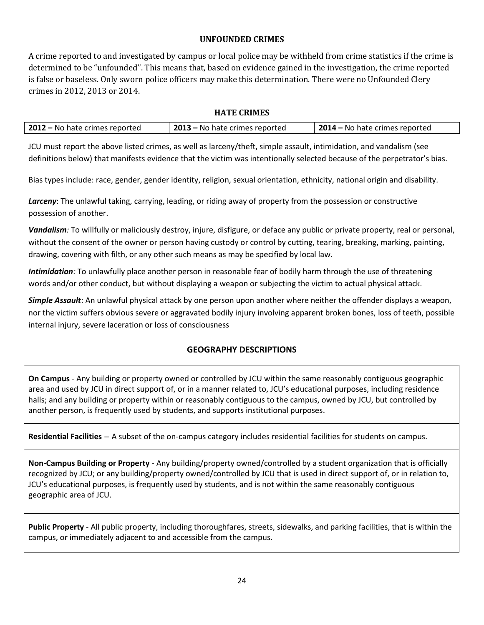# **UNFOUNDED CRIMES**

A crime reported to and investigated by campus or local police may be withheld from crime statistics if the crime is determined to be "unfounded". This means that, based on evidence gained in the investigation, the crime reported is false or baseless. Only sworn police officers may make this determination. There were no Unfounded Clery crimes in 2012, 2013 or 2014.

# **HATE CRIMES**

| 2012 – No hate crimes reported | 2013 – No hate crimes reported | 2014 – No hate crimes reported |
|--------------------------------|--------------------------------|--------------------------------|
|--------------------------------|--------------------------------|--------------------------------|

JCU must report the above listed crimes, as well as larceny/theft, simple assault, intimidation, and vandalism (see definitions below) that manifests evidence that the victim was intentionally selected because of the perpetrator's bias.

Bias types include: race, gender, gender identity, religion, sexual orientation, ethnicity, national origin and disability.

*Larceny*: The unlawful taking, carrying, leading, or riding away of property from the possession or constructive possession of another.

*Vandalism:* To willfully or maliciously destroy, injure, disfigure, or deface any public or private property, real or personal, without the consent of the owner or person having custody or control by cutting, tearing, breaking, marking, painting, drawing, covering with filth, or any other such means as may be specified by local law.

*Intimidation:* To unlawfully place another person in reasonable fear of bodily harm through the use of threatening words and/or other conduct, but without displaying a weapon or subjecting the victim to actual physical attack.

*Simple Assault*: An unlawful physical attack by one person upon another where neither the offender displays a weapon, nor the victim suffers obvious severe or aggravated bodily injury involving apparent broken bones, loss of teeth, possible internal injury, severe laceration or loss of consciousness

# **GEOGRAPHY DESCRIPTIONS**

**On Campus** *-* Any building or property owned or controlled by JCU within the same reasonably contiguous geographic area and used by JCU in direct support of, or in a manner related to, JCU's educational purposes, including residence halls; and any building or property within or reasonably contiguous to the campus, owned by JCU, but controlled by another person, is frequently used by students, and supports institutional purposes.

**Residential Facilities** *–* A subset of the on-campus category includes residential facilities for students on campus.

**Non-Campus Building or Property** - Any building/property owned/controlled by a student organization that is officially recognized by JCU; or any building/property owned/controlled by JCU that is used in direct support of, or in relation to, JCU's educational purposes, is frequently used by students, and is not within the same reasonably contiguous geographic area of JCU.

**Public Property** - All public property, including thoroughfares, streets, sidewalks, and parking facilities, that is within the campus, or immediately adjacent to and accessible from the campus.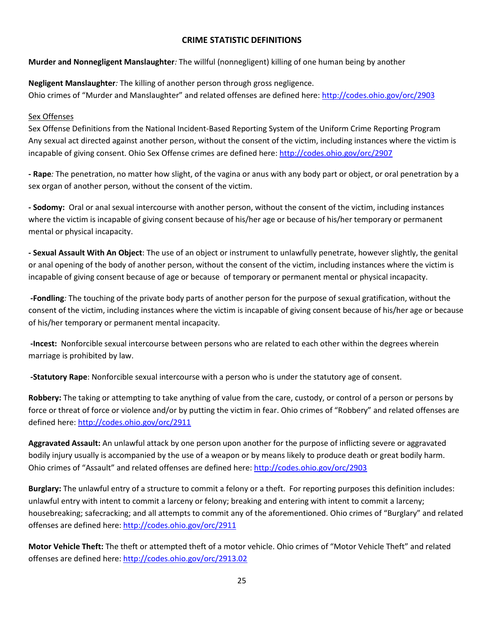# **CRIME STATISTIC DEFINITIONS**

**Murder and Nonnegligent Manslaughter***:* The willful (nonnegligent) killing of one human being by another

**Negligent Manslaughter***:* The killing of another person through gross negligence. Ohio crimes of "Murder and Manslaughter" and related offenses are defined here:<http://codes.ohio.gov/orc/2903>

### Sex Offenses

Sex Offense Definitions from the National Incident-Based Reporting System of the Uniform Crime Reporting Program Any sexual act directed against another person, without the consent of the victim, including instances where the victim is incapable of giving consent. Ohio Sex Offense crimes are defined here[: http://codes.ohio.gov/orc/2907](http://codes.ohio.gov/orc/2907)

**- Rape***:* The penetration, no matter how slight, of the vagina or anus with any body part or object, or oral penetration by a sex organ of another person, without the consent of the victim.

**- Sodomy:** Oral or anal sexual intercourse with another person, without the consent of the victim, including instances where the victim is incapable of giving consent because of his/her age or because of his/her temporary or permanent mental or physical incapacity.

**- Sexual Assault With An Object**: The use of an object or instrument to unlawfully penetrate, however slightly, the genital or anal opening of the body of another person, without the consent of the victim, including instances where the victim is incapable of giving consent because of age or because of temporary or permanent mental or physical incapacity.

**-Fondling***:* The touching of the private body parts of another person for the purpose of sexual gratification, without the consent of the victim, including instances where the victim is incapable of giving consent because of his/her age or because of his/her temporary or permanent mental incapacity.

**-Incest:** Nonforcible sexual intercourse between persons who are related to each other within the degrees wherein marriage is prohibited by law.

**-Statutory Rape**: Nonforcible sexual intercourse with a person who is under the statutory age of consent.

**Robbery:** The taking or attempting to take anything of value from the care, custody, or control of a person or persons by force or threat of force or violence and/or by putting the victim in fear. Ohio crimes of "Robbery" and related offenses are defined here[: http://codes.ohio.gov/orc/2911](http://codes.ohio.gov/orc/2911)

**Aggravated Assault:** An unlawful attack by one person upon another for the purpose of inflicting severe or aggravated bodily injury usually is accompanied by the use of a weapon or by means likely to produce death or great bodily harm. Ohio crimes of "Assault" and related offenses are defined here[: http://codes.ohio.gov/orc/2903](http://codes.ohio.gov/orc/2903)

**Burglary:** The unlawful entry of a structure to commit a felony or a theft. For reporting purposes this definition includes: unlawful entry with intent to commit a larceny or felony; breaking and entering with intent to commit a larceny; housebreaking; safecracking; and all attempts to commit any of the aforementioned. Ohio crimes of "Burglary" and related offenses are defined here:<http://codes.ohio.gov/orc/2911>

**Motor Vehicle Theft:** The theft or attempted theft of a motor vehicle. Ohio crimes of "Motor Vehicle Theft" and related offenses are defined here:<http://codes.ohio.gov/orc/2913.02>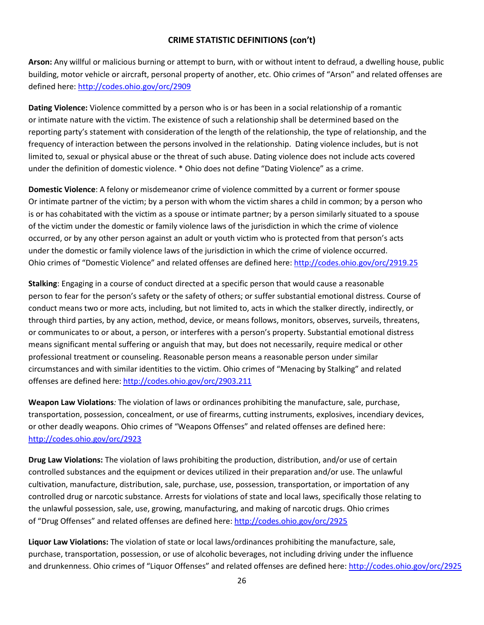# **CRIME STATISTIC DEFINITIONS (con't)**

**Arson:** Any willful or malicious burning or attempt to burn, with or without intent to defraud, a dwelling house, public building, motor vehicle or aircraft, personal property of another, etc. Ohio crimes of "Arson" and related offenses are defined here[: http://codes.ohio.gov/orc/2909](http://codes.ohio.gov/orc/2909)

**Dating Violence:** Violence committed by a person who is or has been in a social relationship of a romantic or intimate nature with the victim. The existence of such a relationship shall be determined based on the reporting party's statement with consideration of the length of the relationship, the type of relationship, and the frequency of interaction between the persons involved in the relationship. Dating violence includes, but is not limited to, sexual or physical abuse or the threat of such abuse. Dating violence does not include acts covered under the definition of domestic violence. \* Ohio does not define "Dating Violence" as a crime.

**Domestic Violence**: A felony or misdemeanor crime of violence committed by a current or former spouse Or intimate partner of the victim; by a person with whom the victim shares a child in common; by a person who is or has cohabitated with the victim as a spouse or intimate partner; by a person similarly situated to a spouse of the victim under the domestic or family violence laws of the jurisdiction in which the crime of violence occurred, or by any other person against an adult or youth victim who is protected from that person's acts under the domestic or family violence laws of the jurisdiction in which the crime of violence occurred. Ohio crimes of "Domestic Violence" and related offenses are defined here:<http://codes.ohio.gov/orc/2919.25>

**Stalking**: Engaging in a course of conduct directed at a specific person that would cause a reasonable person to fear for the person's safety or the safety of others; or suffer substantial emotional distress. Course of conduct means two or more acts, including, but not limited to, acts in which the stalker directly, indirectly, or through third parties, by any action, method, device, or means follows, monitors, observes, surveils, threatens, or communicates to or about, a person, or interferes with a person's property. Substantial emotional distress means significant mental suffering or anguish that may, but does not necessarily, require medical or other professional treatment or counseling. Reasonable person means a reasonable person under similar circumstances and with similar identities to the victim. Ohio crimes of "Menacing by Stalking" and related offenses are defined here:<http://codes.ohio.gov/orc/2903.211>

**Weapon Law Violations***:* The violation of laws or ordinances prohibiting the manufacture, sale, purchase, transportation, possession, concealment, or use of firearms, cutting instruments, explosives, incendiary devices, or other deadly weapons. Ohio crimes of "Weapons Offenses" and related offenses are defined here: <http://codes.ohio.gov/orc/2923>

**Drug Law Violations:** The violation of laws prohibiting the production, distribution, and/or use of certain controlled substances and the equipment or devices utilized in their preparation and/or use. The unlawful cultivation, manufacture, distribution, sale, purchase, use, possession, transportation, or importation of any controlled drug or narcotic substance. Arrests for violations of state and local laws, specifically those relating to the unlawful possession, sale, use, growing, manufacturing, and making of narcotic drugs. Ohio crimes of "Drug Offenses" and related offenses are defined here[: http://codes.ohio.gov/orc/2925](http://codes.ohio.gov/orc/2925)

**Liquor Law Violations:** The violation of state or local laws/ordinances prohibiting the manufacture, sale, purchase, transportation, possession, or use of alcoholic beverages, not including driving under the influence and drunkenness. Ohio crimes of "Liquor Offenses" and related offenses are defined here: <http://codes.ohio.gov/orc/2925>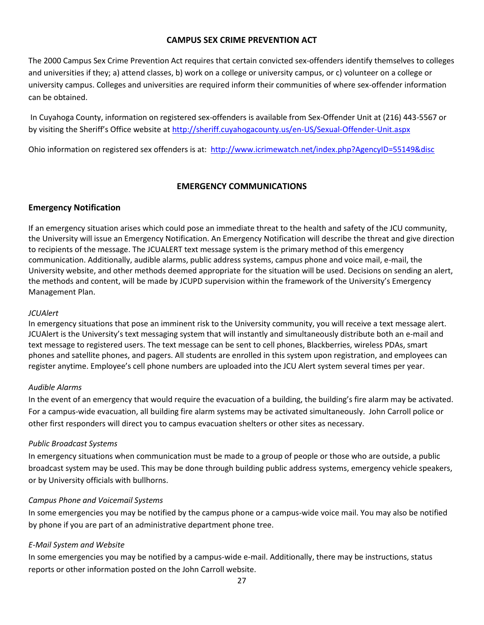#### **CAMPUS SEX CRIME PREVENTION ACT**

The 2000 Campus Sex Crime Prevention Act requires that certain convicted sex-offenders identify themselves to colleges and universities if they; a) attend classes, b) work on a college or university campus, or c) volunteer on a college or university campus. Colleges and universities are required inform their communities of where sex-offender information can be obtained.

In Cuyahoga County, information on registered sex-offenders is available from Sex-Offender Unit at (216) 443-5567 or by visiting the Sheriff's Office website a[t http://sheriff.cuyahogacounty.us/en-US/Sexual-Offender-Unit.aspx](http://sheriff.cuyahogacounty.us/en-US/Sexual-Offender-Unit.aspx)

Ohio information on registered sex offenders is at:<http://www.icrimewatch.net/index.php?AgencyID=55149&disc>

# **EMERGENCY COMMUNICATIONS**

# **Emergency Notification**

If an emergency situation arises which could pose an immediate threat to the health and safety of the JCU community, the University will issue an Emergency Notification. An Emergency Notification will describe the threat and give direction to recipients of the message. The JCUALERT text message system is the primary method of this emergency communication. Additionally, audible alarms, public address systems, campus phone and voice mail, e-mail, the University website, and other methods deemed appropriate for the situation will be used. Decisions on sending an alert, the methods and content, will be made by JCUPD supervision within the framework of the University's Emergency Management Plan.

#### *JCUAlert*

In emergency situations that pose an imminent risk to the University community, you will receive a text message alert. JCUAlert is the University's text messaging system that will instantly and simultaneously distribute both an e-mail and text message to registered users. The text message can be sent to cell phones, Blackberries, wireless PDAs, smart phones and satellite phones, and pagers. All students are enrolled in this system upon registration, and employees can register anytime. Employee's cell phone numbers are uploaded into the JCU Alert system several times per year.

#### *Audible Alarms*

In the event of an emergency that would require the evacuation of a building, the building's fire alarm may be activated. For a campus-wide evacuation, all building fire alarm systems may be activated simultaneously. John Carroll police or other first responders will direct you to campus evacuation shelters or other sites as necessary.

#### *Public Broadcast Systems*

In emergency situations when communication must be made to a group of people or those who are outside, a public broadcast system may be used. This may be done through building public address systems, emergency vehicle speakers, or by University officials with bullhorns.

#### *Campus Phone and Voicemail Systems*

In some emergencies you may be notified by the campus phone or a campus-wide voice mail. You may also be notified by phone if you are part of an administrative department phone tree.

#### *E-Mail System and Website*

In some emergencies you may be notified by a campus-wide e-mail. Additionally, there may be instructions, status reports or other information posted on the John Carroll website.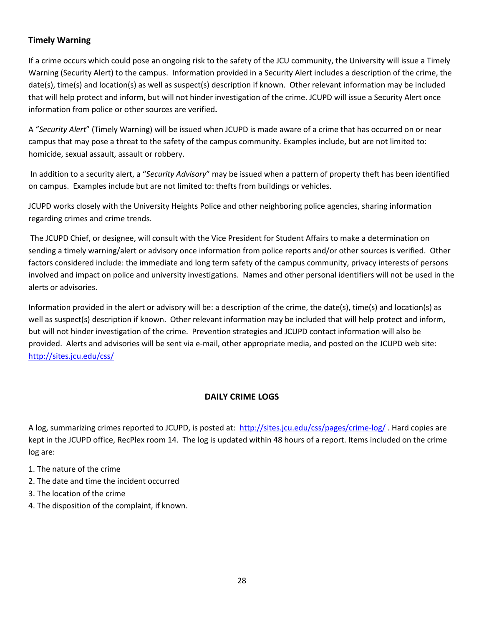# **Timely Warning**

If a crime occurs which could pose an ongoing risk to the safety of the JCU community, the University will issue a Timely Warning (Security Alert) to the campus. Information provided in a Security Alert includes a description of the crime, the date(s), time(s) and location(s) as well as suspect(s) description if known. Other relevant information may be included that will help protect and inform, but will not hinder investigation of the crime. JCUPD will issue a Security Alert once information from police or other sources are verified**.** 

A "*Security Alert*" (Timely Warning) will be issued when JCUPD is made aware of a crime that has occurred on or near campus that may pose a threat to the safety of the campus community. Examples include, but are not limited to: homicide, sexual assault, assault or robbery.

In addition to a security alert, a "*Security Advisory*" may be issued when a pattern of property theft has been identified on campus. Examples include but are not limited to: thefts from buildings or vehicles.

JCUPD works closely with the University Heights Police and other neighboring police agencies, sharing information regarding crimes and crime trends.

The JCUPD Chief, or designee, will consult with the Vice President for Student Affairs to make a determination on sending a timely warning/alert or advisory once information from police reports and/or other sources is verified. Other factors considered include: the immediate and long term safety of the campus community, privacy interests of persons involved and impact on police and university investigations. Names and other personal identifiers will not be used in the alerts or advisories.

Information provided in the alert or advisory will be: a description of the crime, the date(s), time(s) and location(s) as well as suspect(s) description if known. Other relevant information may be included that will help protect and inform, but will not hinder investigation of the crime. Prevention strategies and JCUPD contact information will also be provided. Alerts and advisories will be sent via e-mail, other appropriate media, and posted on the JCUPD web site: <http://sites.jcu.edu/css/>

# **DAILY CRIME LOGS**

A log, summarizing crimes reported to JCUPD, is posted at: <http://sites.jcu.edu/css/pages/crime-log/>. Hard copies are kept in the JCUPD office, RecPlex room 14. The log is updated within 48 hours of a report. Items included on the crime log are:

- 1. The nature of the crime
- 2. The date and time the incident occurred
- 3. The location of the crime
- 4. The disposition of the complaint, if known.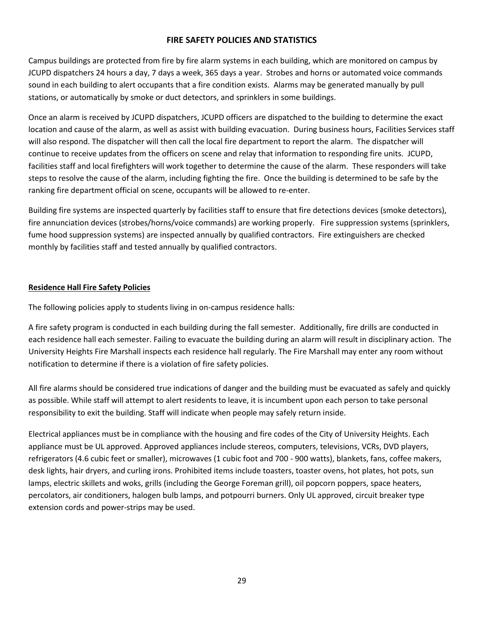### **FIRE SAFETY POLICIES AND STATISTICS**

Campus buildings are protected from fire by fire alarm systems in each building, which are monitored on campus by JCUPD dispatchers 24 hours a day, 7 days a week, 365 days a year. Strobes and horns or automated voice commands sound in each building to alert occupants that a fire condition exists. Alarms may be generated manually by pull stations, or automatically by smoke or duct detectors, and sprinklers in some buildings.

Once an alarm is received by JCUPD dispatchers, JCUPD officers are dispatched to the building to determine the exact location and cause of the alarm, as well as assist with building evacuation. During business hours, Facilities Services staff will also respond. The dispatcher will then call the local fire department to report the alarm. The dispatcher will continue to receive updates from the officers on scene and relay that information to responding fire units. JCUPD, facilities staff and local firefighters will work together to determine the cause of the alarm. These responders will take steps to resolve the cause of the alarm, including fighting the fire. Once the building is determined to be safe by the ranking fire department official on scene, occupants will be allowed to re-enter.

Building fire systems are inspected quarterly by facilities staff to ensure that fire detections devices (smoke detectors), fire annunciation devices (strobes/horns/voice commands) are working properly. Fire suppression systems (sprinklers, fume hood suppression systems) are inspected annually by qualified contractors. Fire extinguishers are checked monthly by facilities staff and tested annually by qualified contractors.

#### **Residence Hall Fire Safety Policies**

The following policies apply to students living in on-campus residence halls:

A fire safety program is conducted in each building during the fall semester. Additionally, fire drills are conducted in each residence hall each semester. Failing to evacuate the building during an alarm will result in disciplinary action. The University Heights Fire Marshall inspects each residence hall regularly. The Fire Marshall may enter any room without notification to determine if there is a violation of fire safety policies.

All fire alarms should be considered true indications of danger and the building must be evacuated as safely and quickly as possible. While staff will attempt to alert residents to leave, it is incumbent upon each person to take personal responsibility to exit the building. Staff will indicate when people may safely return inside.

Electrical appliances must be in compliance with the housing and fire codes of the City of University Heights. Each appliance must be UL approved. Approved appliances include stereos, computers, televisions, VCRs, DVD players, refrigerators (4.6 cubic feet or smaller), microwaves (1 cubic foot and 700 - 900 watts), blankets, fans, coffee makers, desk lights, hair dryers, and curling irons. Prohibited items include toasters, toaster ovens, hot plates, hot pots, sun lamps, electric skillets and woks, grills (including the George Foreman grill), oil popcorn poppers, space heaters, percolators, air conditioners, halogen bulb lamps, and potpourri burners. Only UL approved, circuit breaker type extension cords and power-strips may be used.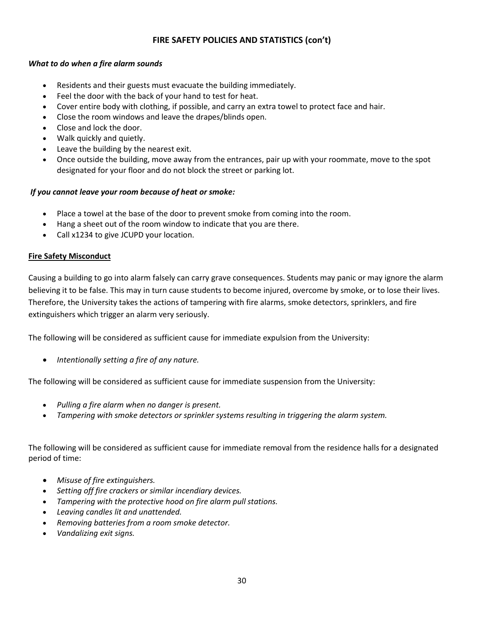# **FIRE SAFETY POLICIES AND STATISTICS (con't)**

### *What to do when a fire alarm sounds*

- Residents and their guests must evacuate the building immediately.
- Feel the door with the back of your hand to test for heat.
- Cover entire body with clothing, if possible, and carry an extra towel to protect face and hair.
- Close the room windows and leave the drapes/blinds open.
- Close and lock the door.
- Walk quickly and quietly.
- Leave the building by the nearest exit.
- Once outside the building, move away from the entrances, pair up with your roommate, move to the spot designated for your floor and do not block the street or parking lot.

#### *If you cannot leave your room because of heat or smoke:*

- Place a towel at the base of the door to prevent smoke from coming into the room.
- Hang a sheet out of the room window to indicate that you are there.
- Call x1234 to give JCUPD your location.

#### **Fire Safety Misconduct**

Causing a building to go into alarm falsely can carry grave consequences. Students may panic or may ignore the alarm believing it to be false. This may in turn cause students to become injured, overcome by smoke, or to lose their lives. Therefore, the University takes the actions of tampering with fire alarms, smoke detectors, sprinklers, and fire extinguishers which trigger an alarm very seriously.

The following will be considered as sufficient cause for immediate expulsion from the University:

*Intentionally setting a fire of any nature.* 

The following will be considered as sufficient cause for immediate suspension from the University:

- *Pulling a fire alarm when no danger is present.*
- *Tampering with smoke detectors or sprinkler systems resulting in triggering the alarm system.*

The following will be considered as sufficient cause for immediate removal from the residence halls for a designated period of time:

- *Misuse of fire extinguishers.*
- *Setting off fire crackers or similar incendiary devices.*
- *Tampering with the protective hood on fire alarm pull stations.*
- *Leaving candles lit and unattended.*
- *Removing batteries from a room smoke detector.*
- *Vandalizing exit signs.*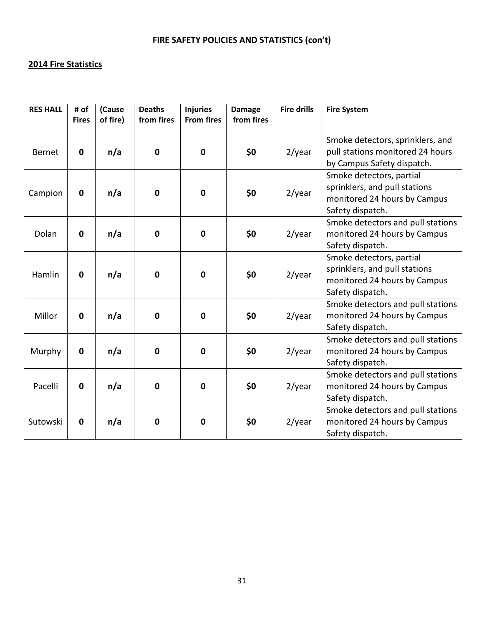# **2014 Fire Statistics**

| <b>RES HALL</b> | # of<br><b>Fires</b> | (Cause<br>of fire) | <b>Deaths</b><br>from fires | <b>Injuries</b><br><b>From fires</b> | <b>Damage</b><br>from fires | <b>Fire drills</b> | <b>Fire System</b>                                                                                            |
|-----------------|----------------------|--------------------|-----------------------------|--------------------------------------|-----------------------------|--------------------|---------------------------------------------------------------------------------------------------------------|
| <b>Bernet</b>   | $\mathbf 0$          | n/a                | $\mathbf 0$                 | $\mathbf 0$                          | \$0                         | $2$ /year          | Smoke detectors, sprinklers, and<br>pull stations monitored 24 hours<br>by Campus Safety dispatch.            |
| Campion         | $\mathbf 0$          | n/a                | $\mathbf 0$                 | $\mathbf 0$                          | \$0                         | $2$ /year          | Smoke detectors, partial<br>sprinklers, and pull stations<br>monitored 24 hours by Campus<br>Safety dispatch. |
| Dolan           | $\mathbf 0$          | n/a                | $\mathbf 0$                 | $\mathbf 0$                          | \$0                         | $2$ /year          | Smoke detectors and pull stations<br>monitored 24 hours by Campus<br>Safety dispatch.                         |
| Hamlin          | $\mathbf 0$          | n/a                | $\mathbf 0$                 | $\mathbf 0$                          | \$0                         | $2$ /year          | Smoke detectors, partial<br>sprinklers, and pull stations<br>monitored 24 hours by Campus<br>Safety dispatch. |
| Millor          | $\mathbf 0$          | n/a                | $\mathbf 0$                 | $\mathbf 0$                          | \$0                         | $2$ /year          | Smoke detectors and pull stations<br>monitored 24 hours by Campus<br>Safety dispatch.                         |
| Murphy          | $\mathbf 0$          | n/a                | $\mathbf 0$                 | $\mathbf 0$                          | \$0                         | $2$ /year          | Smoke detectors and pull stations<br>monitored 24 hours by Campus<br>Safety dispatch.                         |
| Pacelli         | $\mathbf 0$          | n/a                | $\mathbf 0$                 | $\mathbf 0$                          | \$0                         | $2$ /year          | Smoke detectors and pull stations<br>monitored 24 hours by Campus<br>Safety dispatch.                         |
| Sutowski        | $\mathbf 0$          | n/a                | $\mathbf 0$                 | $\mathbf 0$                          | \$0                         | $2$ /year          | Smoke detectors and pull stations<br>monitored 24 hours by Campus<br>Safety dispatch.                         |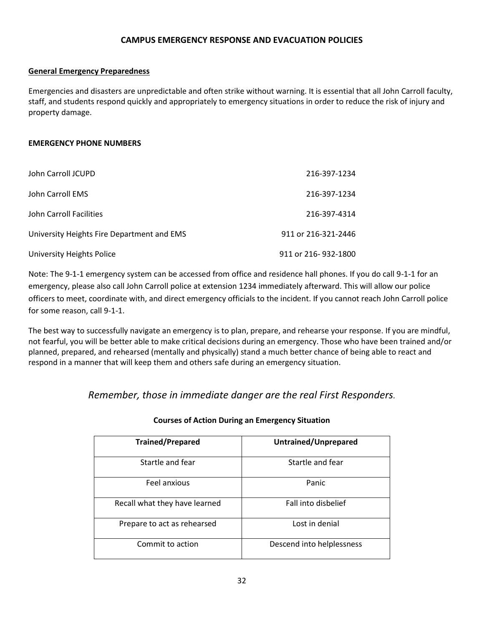#### **CAMPUS EMERGENCY RESPONSE AND EVACUATION POLICIES**

#### **General Emergency Preparedness**

Emergencies and disasters are unpredictable and often strike without warning. It is essential that all John Carroll faculty, staff, and students respond quickly and appropriately to emergency situations in order to reduce the risk of injury and property damage.

#### **EMERGENCY PHONE NUMBERS**

| John Carroll JCUPD                         | 216-397-1234        |
|--------------------------------------------|---------------------|
| John Carroll EMS                           | 216-397-1234        |
| John Carroll Facilities                    | 216-397-4314        |
| University Heights Fire Department and EMS | 911 or 216-321-2446 |
| University Heights Police                  | 911 or 216-932-1800 |

Note: The 9-1-1 emergency system can be accessed from office and residence hall phones. If you do call 9-1-1 for an emergency, please also call John Carroll police at extension 1234 immediately afterward. This will allow our police officers to meet, coordinate with, and direct emergency officials to the incident. If you cannot reach John Carroll police for some reason, call 9-1-1.

The best way to successfully navigate an emergency is to plan, prepare, and rehearse your response. If you are mindful, not fearful, you will be better able to make critical decisions during an emergency. Those who have been trained and/or planned, prepared, and rehearsed (mentally and physically) stand a much better chance of being able to react and respond in a manner that will keep them and others safe during an emergency situation.

*Remember, those in immediate danger are the real First Responders.*

| <b>Trained/Prepared</b>       | Untrained/Unprepared      |
|-------------------------------|---------------------------|
| Startle and fear              | Startle and fear          |
| Feel anxious                  | Panic                     |
| Recall what they have learned | Fall into disbelief       |
| Prepare to act as rehearsed   | Lost in denial            |
| Commit to action              | Descend into helplessness |

#### **Courses of Action During an Emergency Situation**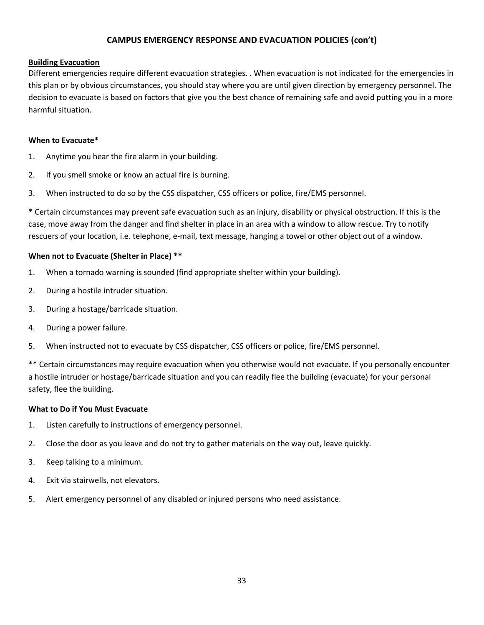### **CAMPUS EMERGENCY RESPONSE AND EVACUATION POLICIES (con't)**

#### **Building Evacuation**

Different emergencies require different evacuation strategies. . When evacuation is not indicated for the emergencies in this plan or by obvious circumstances, you should stay where you are until given direction by emergency personnel. The decision to evacuate is based on factors that give you the best chance of remaining safe and avoid putting you in a more harmful situation.

#### **When to Evacuate\***

- 1. Anytime you hear the fire alarm in your building.
- 2. If you smell smoke or know an actual fire is burning.
- 3. When instructed to do so by the CSS dispatcher, CSS officers or police, fire/EMS personnel.

\* Certain circumstances may prevent safe evacuation such as an injury, disability or physical obstruction. If this is the case, move away from the danger and find shelter in place in an area with a window to allow rescue. Try to notify rescuers of your location, i.e. telephone, e-mail, text message, hanging a towel or other object out of a window.

#### **When not to Evacuate (Shelter in Place) \*\***

- 1. When a tornado warning is sounded (find appropriate shelter within your building).
- 2. During a hostile intruder situation.
- 3. During a hostage/barricade situation.
- 4. During a power failure.
- 5. When instructed not to evacuate by CSS dispatcher, CSS officers or police, fire/EMS personnel.

\*\* Certain circumstances may require evacuation when you otherwise would not evacuate. If you personally encounter a hostile intruder or hostage/barricade situation and you can readily flee the building (evacuate) for your personal safety, flee the building.

#### **What to Do if You Must Evacuate**

- 1. Listen carefully to instructions of emergency personnel.
- 2. Close the door as you leave and do not try to gather materials on the way out, leave quickly.
- 3. Keep talking to a minimum.
- 4. Exit via stairwells, not elevators.
- 5. Alert emergency personnel of any disabled or injured persons who need assistance.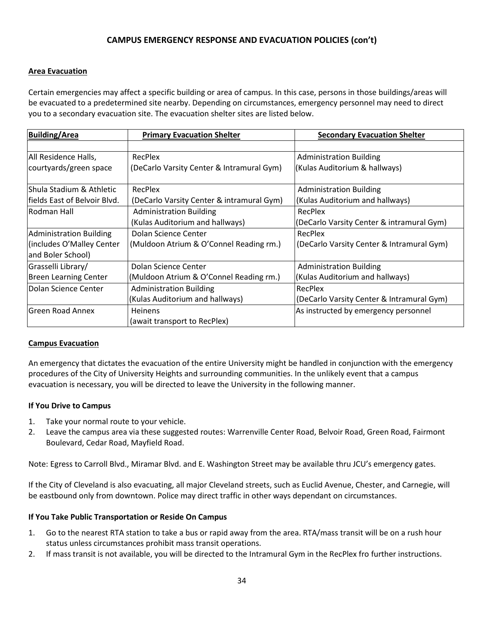# **CAMPUS EMERGENCY RESPONSE AND EVACUATION POLICIES (con't)**

#### **Area Evacuation**

Certain emergencies may affect a specific building or area of campus. In this case, persons in those buildings/areas will be evacuated to a predetermined site nearby. Depending on circumstances, emergency personnel may need to direct you to a secondary evacuation site. The evacuation shelter sites are listed below.

| <b>Building/Area</b>         | <b>Primary Evacuation Shelter</b>         | <b>Secondary Evacuation Shelter</b>       |
|------------------------------|-------------------------------------------|-------------------------------------------|
|                              |                                           |                                           |
| All Residence Halls,         | RecPlex                                   | <b>Administration Building</b>            |
| courtyards/green space       | (DeCarlo Varsity Center & Intramural Gym) | (Kulas Auditorium & hallways)             |
|                              |                                           |                                           |
| lShula Stadium & Athletic    | RecPlex                                   | <b>Administration Building</b>            |
| fields East of Belvoir Blvd. | (DeCarlo Varsity Center & intramural Gym) | (Kulas Auditorium and hallways)           |
| Rodman Hall                  | <b>Administration Building</b>            | RecPlex                                   |
|                              | (Kulas Auditorium and hallways)           | (DeCarlo Varsity Center & intramural Gym) |
| Administration Building      | Dolan Science Center                      | RecPlex                                   |
| (includes O'Malley Center    | (Muldoon Atrium & O'Connel Reading rm.)   | (DeCarlo Varsity Center & Intramural Gym) |
| and Boler School)            |                                           |                                           |
| Grasselli Library/           | Dolan Science Center                      | <b>Administration Building</b>            |
| <b>Breen Learning Center</b> | (Muldoon Atrium & O'Connel Reading rm.)   | (Kulas Auditorium and hallways)           |
| Dolan Science Center         | <b>Administration Building</b>            | RecPlex                                   |
|                              | (Kulas Auditorium and hallways)           | (DeCarlo Varsity Center & Intramural Gym) |
| <b>IGreen Road Annex</b>     | <b>Heinens</b>                            | As instructed by emergency personnel      |
|                              | (await transport to RecPlex)              |                                           |

#### **Campus Evacuation**

An emergency that dictates the evacuation of the entire University might be handled in conjunction with the emergency procedures of the City of University Heights and surrounding communities. In the unlikely event that a campus evacuation is necessary, you will be directed to leave the University in the following manner.

#### **If You Drive to Campus**

- 1. Take your normal route to your vehicle.
- 2. Leave the campus area via these suggested routes: Warrenville Center Road, Belvoir Road, Green Road, Fairmont Boulevard, Cedar Road, Mayfield Road.

Note: Egress to Carroll Blvd., Miramar Blvd. and E. Washington Street may be available thru JCU's emergency gates.

If the City of Cleveland is also evacuating, all major Cleveland streets, such as Euclid Avenue, Chester, and Carnegie, will be eastbound only from downtown. Police may direct traffic in other ways dependant on circumstances.

#### **If You Take Public Transportation or Reside On Campus**

- 1. Go to the nearest RTA station to take a bus or rapid away from the area. RTA/mass transit will be on a rush hour status unless circumstances prohibit mass transit operations.
- 2. If mass transit is not available, you will be directed to the Intramural Gym in the RecPlex fro further instructions.